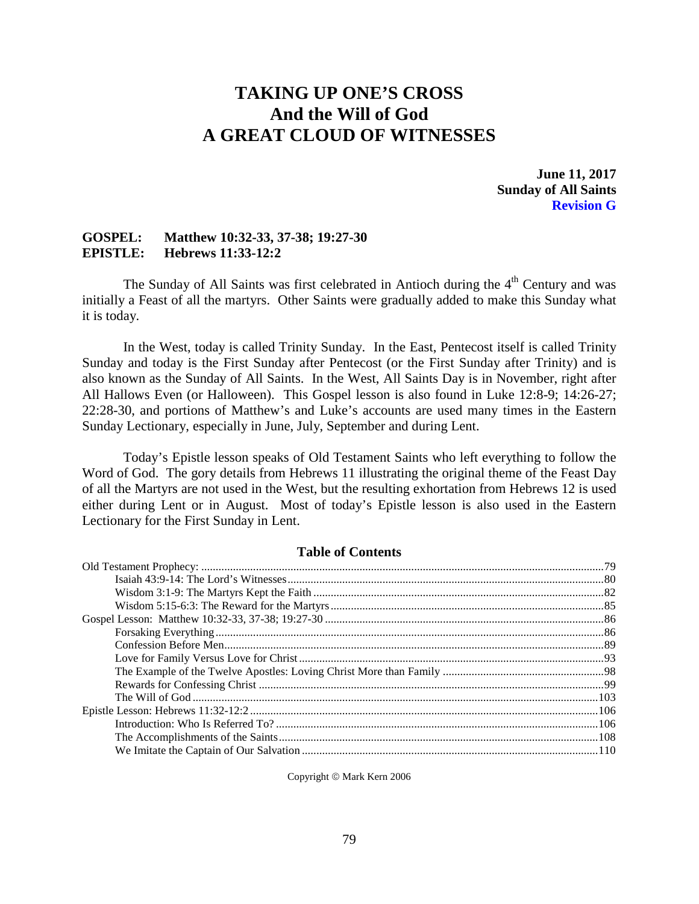# **TAKING UP ONE'S CROSS And the Will of God A GREAT CLOUD OF WITNESSES**

**June 11, 2017 Sunday of All Saints Revision G**

### **GOSPEL: Matthew 10:32-33, 37-38; 19:27-30 EPISTLE: Hebrews 11:33-12:2**

The Sunday of All Saints was first celebrated in Antioch during the  $4<sup>th</sup>$  Century and was initially a Feast of all the martyrs. Other Saints were gradually added to make this Sunday what it is today.

In the West, today is called Trinity Sunday. In the East, Pentecost itself is called Trinity Sunday and today is the First Sunday after Pentecost (or the First Sunday after Trinity) and is also known as the Sunday of All Saints. In the West, All Saints Day is in November, right after All Hallows Even (or Halloween). This Gospel lesson is also found in Luke 12:8-9; 14:26-27; 22:28-30, and portions of Matthew's and Luke's accounts are used many times in the Eastern Sunday Lectionary, especially in June, July, September and during Lent.

Today's Epistle lesson speaks of Old Testament Saints who left everything to follow the Word of God. The gory details from Hebrews 11 illustrating the original theme of the Feast Day of all the Martyrs are not used in the West, but the resulting exhortation from Hebrews 12 is used either during Lent or in August. Most of today's Epistle lesson is also used in the Eastern Lectionary for the First Sunday in Lent.

### **Table of Contents**

<span id="page-0-0"></span>Copyright © Mark Kern 2006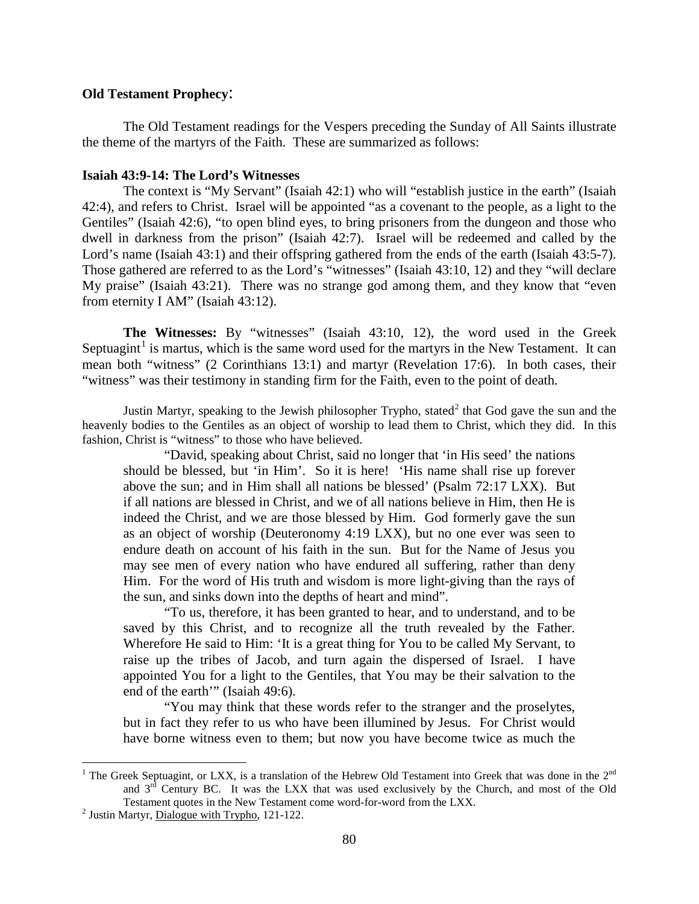### **Old Testament Prophecy**:

The Old Testament readings for the Vespers preceding the Sunday of All Saints illustrate the theme of the martyrs of the Faith. These are summarized as follows:

### <span id="page-1-0"></span>**Isaiah 43:9-14: The Lord's Witnesses**

The context is "My Servant" (Isaiah 42:1) who will "establish justice in the earth" (Isaiah 42:4), and refers to Christ. Israel will be appointed "as a covenant to the people, as a light to the Gentiles" (Isaiah 42:6), "to open blind eyes, to bring prisoners from the dungeon and those who dwell in darkness from the prison" (Isaiah 42:7). Israel will be redeemed and called by the Lord's name (Isaiah 43:1) and their offspring gathered from the ends of the earth (Isaiah 43:5-7). Those gathered are referred to as the Lord's "witnesses" (Isaiah 43:10, 12) and they "will declare My praise" (Isaiah 43:21). There was no strange god among them, and they know that "even from eternity I AM" (Isaiah 43:12).

**The Witnesses:** By "witnesses" (Isaiah 43:10, 12), the word used in the Greek Septuagint<sup>[1](#page-1-1)</sup> is martus, which is the same word used for the martyrs in the New Testament. It can mean both "witness" (2 Corinthians 13:1) and martyr (Revelation 17:6). In both cases, their "witness" was their testimony in standing firm for the Faith, even to the point of death.

Justin Martyr, speaking to the Jewish philosopher Trypho, stated<sup>[2](#page-1-2)</sup> that God gave the sun and the heavenly bodies to the Gentiles as an object of worship to lead them to Christ, which they did. In this fashion, Christ is "witness" to those who have believed.

"David, speaking about Christ, said no longer that 'in His seed' the nations should be blessed, but 'in Him'. So it is here! 'His name shall rise up forever above the sun; and in Him shall all nations be blessed' (Psalm 72:17 LXX). But if all nations are blessed in Christ, and we of all nations believe in Him, then He is indeed the Christ, and we are those blessed by Him. God formerly gave the sun as an object of worship (Deuteronomy 4:19 LXX), but no one ever was seen to endure death on account of his faith in the sun. But for the Name of Jesus you may see men of every nation who have endured all suffering, rather than deny Him. For the word of His truth and wisdom is more light-giving than the rays of the sun, and sinks down into the depths of heart and mind".

"To us, therefore, it has been granted to hear, and to understand, and to be saved by this Christ, and to recognize all the truth revealed by the Father. Wherefore He said to Him: 'It is a great thing for You to be called My Servant, to raise up the tribes of Jacob, and turn again the dispersed of Israel. I have appointed You for a light to the Gentiles, that You may be their salvation to the end of the earth'" (Isaiah 49:6).

"You may think that these words refer to the stranger and the proselytes, but in fact they refer to us who have been illumined by Jesus. For Christ would have borne witness even to them; but now you have become twice as much the

<span id="page-1-1"></span><sup>&</sup>lt;sup>1</sup> The Greek Septuagint, or LXX, is a translation of the Hebrew Old Testament into Greek that was done in the  $2<sup>nd</sup>$ and  $3<sup>rd</sup>$  Century BC. It was the LXX that was used exclusively by the Church, and most of the Old Testament quotes in the New Testament come word-for-word from the LXX. 2 Justin Martyr, Dialogue with Trypho, 121-122.

<span id="page-1-2"></span>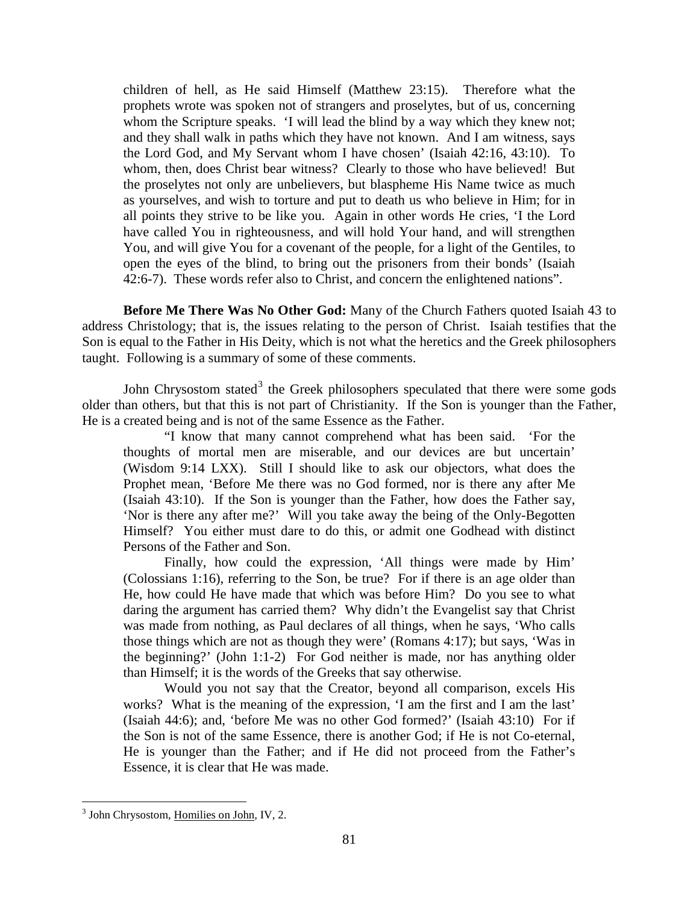children of hell, as He said Himself (Matthew 23:15). Therefore what the prophets wrote was spoken not of strangers and proselytes, but of us, concerning whom the Scripture speaks. 'I will lead the blind by a way which they knew not; and they shall walk in paths which they have not known. And I am witness, says the Lord God, and My Servant whom I have chosen' (Isaiah 42:16, 43:10). To whom, then, does Christ bear witness? Clearly to those who have believed! But the proselytes not only are unbelievers, but blaspheme His Name twice as much as yourselves, and wish to torture and put to death us who believe in Him; for in all points they strive to be like you. Again in other words He cries, 'I the Lord have called You in righteousness, and will hold Your hand, and will strengthen You, and will give You for a covenant of the people, for a light of the Gentiles, to open the eyes of the blind, to bring out the prisoners from their bonds' (Isaiah 42:6-7). These words refer also to Christ, and concern the enlightened nations".

**Before Me There Was No Other God:** Many of the Church Fathers quoted Isaiah 43 to address Christology; that is, the issues relating to the person of Christ. Isaiah testifies that the Son is equal to the Father in His Deity, which is not what the heretics and the Greek philosophers taught. Following is a summary of some of these comments.

John Chrysostom stated<sup>[3](#page-2-0)</sup> the Greek philosophers speculated that there were some gods older than others, but that this is not part of Christianity. If the Son is younger than the Father, He is a created being and is not of the same Essence as the Father.

"I know that many cannot comprehend what has been said. 'For the thoughts of mortal men are miserable, and our devices are but uncertain' (Wisdom 9:14 LXX). Still I should like to ask our objectors, what does the Prophet mean, 'Before Me there was no God formed, nor is there any after Me (Isaiah 43:10). If the Son is younger than the Father, how does the Father say, 'Nor is there any after me?' Will you take away the being of the Only-Begotten Himself? You either must dare to do this, or admit one Godhead with distinct Persons of the Father and Son.

Finally, how could the expression, 'All things were made by Him' (Colossians 1:16), referring to the Son, be true? For if there is an age older than He, how could He have made that which was before Him? Do you see to what daring the argument has carried them? Why didn't the Evangelist say that Christ was made from nothing, as Paul declares of all things, when he says, 'Who calls those things which are not as though they were' (Romans 4:17); but says, 'Was in the beginning?' (John 1:1-2) For God neither is made, nor has anything older than Himself; it is the words of the Greeks that say otherwise.

Would you not say that the Creator, beyond all comparison, excels His works? What is the meaning of the expression, 'I am the first and I am the last' (Isaiah 44:6); and, 'before Me was no other God formed?' (Isaiah 43:10) For if the Son is not of the same Essence, there is another God; if He is not Co-eternal, He is younger than the Father; and if He did not proceed from the Father's Essence, it is clear that He was made.

<span id="page-2-0"></span><sup>&</sup>lt;sup>3</sup> John Chrysostom, Homilies on John, IV, 2.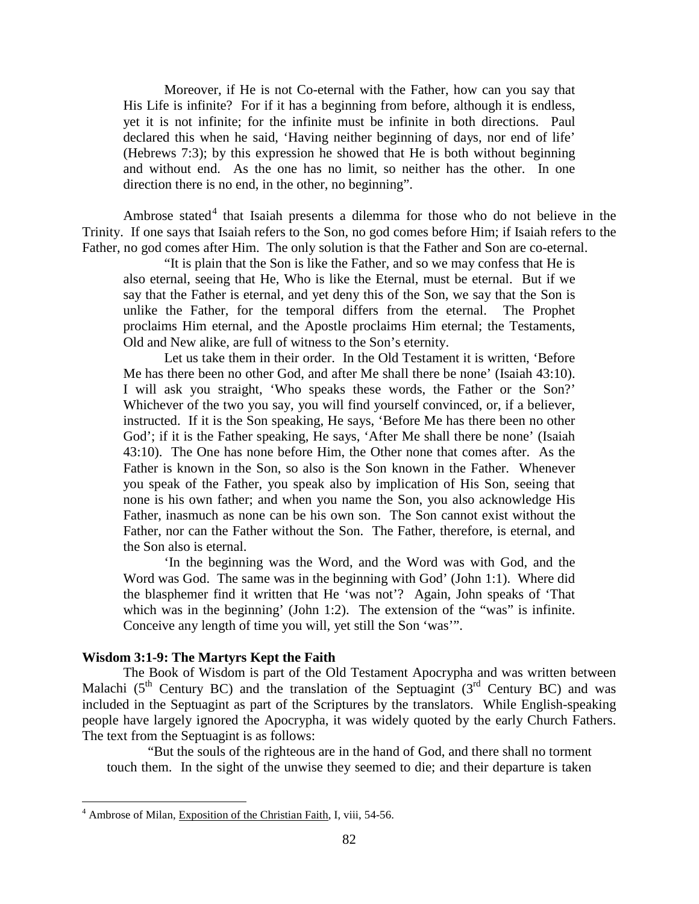Moreover, if He is not Co-eternal with the Father, how can you say that His Life is infinite? For if it has a beginning from before, although it is endless, yet it is not infinite; for the infinite must be infinite in both directions. Paul declared this when he said, 'Having neither beginning of days, nor end of life' (Hebrews 7:3); by this expression he showed that He is both without beginning and without end. As the one has no limit, so neither has the other. In one direction there is no end, in the other, no beginning".

Ambrose stated<sup>[4](#page-3-1)</sup> that Isaiah presents a dilemma for those who do not believe in the Trinity. If one says that Isaiah refers to the Son, no god comes before Him; if Isaiah refers to the Father, no god comes after Him. The only solution is that the Father and Son are co-eternal.

"It is plain that the Son is like the Father, and so we may confess that He is also eternal, seeing that He, Who is like the Eternal, must be eternal. But if we say that the Father is eternal, and yet deny this of the Son, we say that the Son is unlike the Father, for the temporal differs from the eternal. The Prophet proclaims Him eternal, and the Apostle proclaims Him eternal; the Testaments, Old and New alike, are full of witness to the Son's eternity.

Let us take them in their order. In the Old Testament it is written, 'Before Me has there been no other God, and after Me shall there be none' (Isaiah 43:10). I will ask you straight, 'Who speaks these words, the Father or the Son?' Whichever of the two you say, you will find yourself convinced, or, if a believer, instructed. If it is the Son speaking, He says, 'Before Me has there been no other God'; if it is the Father speaking, He says, 'After Me shall there be none' (Isaiah 43:10). The One has none before Him, the Other none that comes after. As the Father is known in the Son, so also is the Son known in the Father. Whenever you speak of the Father, you speak also by implication of His Son, seeing that none is his own father; and when you name the Son, you also acknowledge His Father, inasmuch as none can be his own son. The Son cannot exist without the Father, nor can the Father without the Son. The Father, therefore, is eternal, and the Son also is eternal.

'In the beginning was the Word, and the Word was with God, and the Word was God. The same was in the beginning with God' (John 1:1). Where did the blasphemer find it written that He 'was not'? Again, John speaks of 'That which was in the beginning' (John 1:2). The extension of the "was" is infinite. Conceive any length of time you will, yet still the Son 'was'".

#### <span id="page-3-0"></span>**Wisdom 3:1-9: The Martyrs Kept the Faith**

The Book of Wisdom is part of the Old Testament Apocrypha and was written between Malachi ( $5<sup>th</sup>$  Century BC) and the translation of the Septuagint ( $3<sup>rd</sup>$  Century BC) and was included in the Septuagint as part of the Scriptures by the translators. While English-speaking people have largely ignored the Apocrypha, it was widely quoted by the early Church Fathers. The text from the Septuagint is as follows:

"But the souls of the righteous are in the hand of God, and there shall no torment touch them. In the sight of the unwise they seemed to die; and their departure is taken

<span id="page-3-1"></span><sup>&</sup>lt;sup>4</sup> Ambrose of Milan, Exposition of the Christian Faith, I, viii, 54-56.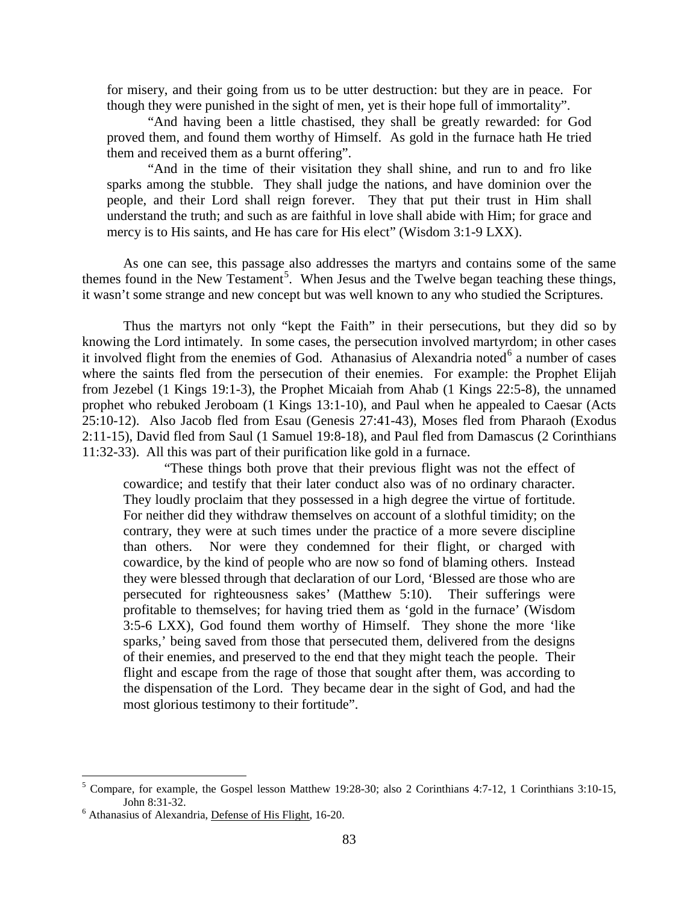for misery, and their going from us to be utter destruction: but they are in peace. For though they were punished in the sight of men, yet is their hope full of immortality".

"And having been a little chastised, they shall be greatly rewarded: for God proved them, and found them worthy of Himself. As gold in the furnace hath He tried them and received them as a burnt offering".

"And in the time of their visitation they shall shine, and run to and fro like sparks among the stubble. They shall judge the nations, and have dominion over the people, and their Lord shall reign forever. They that put their trust in Him shall understand the truth; and such as are faithful in love shall abide with Him; for grace and mercy is to His saints, and He has care for His elect" (Wisdom 3:1-9 LXX).

As one can see, this passage also addresses the martyrs and contains some of the same themes found in the New Testament<sup>[5](#page-4-0)</sup>. When Jesus and the Twelve began teaching these things, it wasn't some strange and new concept but was well known to any who studied the Scriptures.

Thus the martyrs not only "kept the Faith" in their persecutions, but they did so by knowing the Lord intimately. In some cases, the persecution involved martyrdom; in other cases it involved flight from the enemies of God. Athanasius of Alexandria noted $<sup>6</sup>$  $<sup>6</sup>$  $<sup>6</sup>$  a number of cases</sup> where the saints fled from the persecution of their enemies. For example: the Prophet Elijah from Jezebel (1 Kings 19:1-3), the Prophet Micaiah from Ahab (1 Kings 22:5-8), the unnamed prophet who rebuked Jeroboam (1 Kings 13:1-10), and Paul when he appealed to Caesar (Acts 25:10-12). Also Jacob fled from Esau (Genesis 27:41-43), Moses fled from Pharaoh (Exodus 2:11-15), David fled from Saul (1 Samuel 19:8-18), and Paul fled from Damascus (2 Corinthians 11:32-33). All this was part of their purification like gold in a furnace.

"These things both prove that their previous flight was not the effect of cowardice; and testify that their later conduct also was of no ordinary character. They loudly proclaim that they possessed in a high degree the virtue of fortitude. For neither did they withdraw themselves on account of a slothful timidity; on the contrary, they were at such times under the practice of a more severe discipline than others. Nor were they condemned for their flight, or charged with cowardice, by the kind of people who are now so fond of blaming others. Instead they were blessed through that declaration of our Lord, 'Blessed are those who are persecuted for righteousness sakes' (Matthew 5:10). Their sufferings were profitable to themselves; for having tried them as 'gold in the furnace' (Wisdom 3:5-6 LXX), God found them worthy of Himself. They shone the more 'like sparks,' being saved from those that persecuted them, delivered from the designs of their enemies, and preserved to the end that they might teach the people. Their flight and escape from the rage of those that sought after them, was according to the dispensation of the Lord. They became dear in the sight of God, and had the most glorious testimony to their fortitude".

<span id="page-4-0"></span><sup>&</sup>lt;sup>5</sup> Compare, for example, the Gospel lesson Matthew 19:28-30; also 2 Corinthians 4:7-12, 1 Corinthians 3:10-15, John 8:31-32. <sup>6</sup> Athanasius of Alexandria, Defense of His Flight, 16-20.

<span id="page-4-1"></span>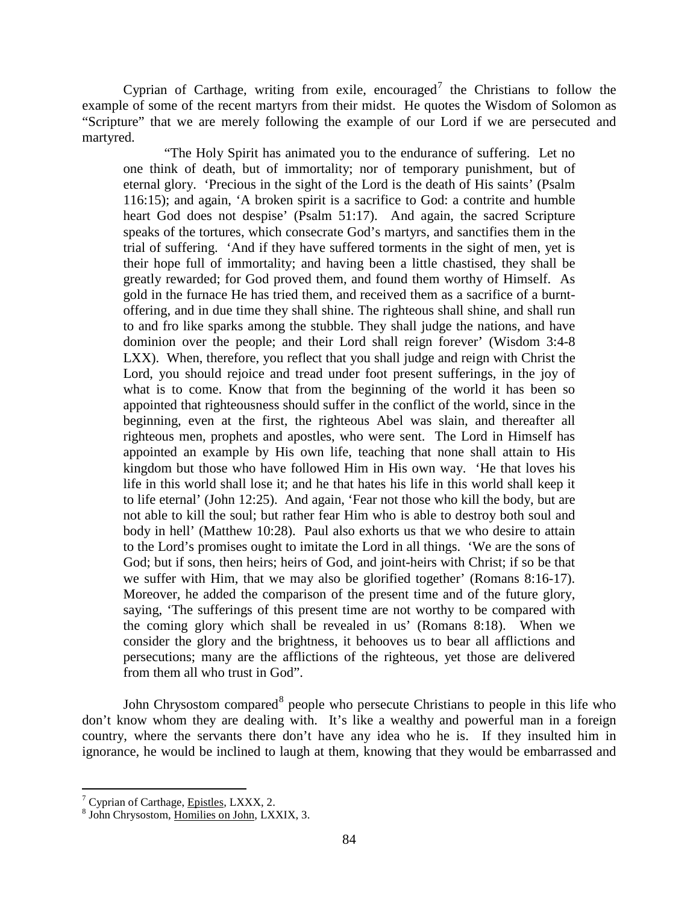Cyprian of Carthage, writing from exile, encouraged<sup>[7](#page-5-0)</sup> the Christians to follow the example of some of the recent martyrs from their midst. He quotes the Wisdom of Solomon as "Scripture" that we are merely following the example of our Lord if we are persecuted and martyred.

"The Holy Spirit has animated you to the endurance of suffering. Let no one think of death, but of immortality; nor of temporary punishment, but of eternal glory. 'Precious in the sight of the Lord is the death of His saints' (Psalm 116:15); and again, 'A broken spirit is a sacrifice to God: a contrite and humble heart God does not despise' (Psalm 51:17). And again, the sacred Scripture speaks of the tortures, which consecrate God's martyrs, and sanctifies them in the trial of suffering. 'And if they have suffered torments in the sight of men, yet is their hope full of immortality; and having been a little chastised, they shall be greatly rewarded; for God proved them, and found them worthy of Himself. As gold in the furnace He has tried them, and received them as a sacrifice of a burntoffering, and in due time they shall shine. The righteous shall shine, and shall run to and fro like sparks among the stubble. They shall judge the nations, and have dominion over the people; and their Lord shall reign forever' (Wisdom 3:4-8 LXX). When, therefore, you reflect that you shall judge and reign with Christ the Lord, you should rejoice and tread under foot present sufferings, in the joy of what is to come. Know that from the beginning of the world it has been so appointed that righteousness should suffer in the conflict of the world, since in the beginning, even at the first, the righteous Abel was slain, and thereafter all righteous men, prophets and apostles, who were sent. The Lord in Himself has appointed an example by His own life, teaching that none shall attain to His kingdom but those who have followed Him in His own way. 'He that loves his life in this world shall lose it; and he that hates his life in this world shall keep it to life eternal' (John 12:25). And again, 'Fear not those who kill the body, but are not able to kill the soul; but rather fear Him who is able to destroy both soul and body in hell' (Matthew 10:28). Paul also exhorts us that we who desire to attain to the Lord's promises ought to imitate the Lord in all things. 'We are the sons of God; but if sons, then heirs; heirs of God, and joint-heirs with Christ; if so be that we suffer with Him, that we may also be glorified together' (Romans 8:16-17). Moreover, he added the comparison of the present time and of the future glory, saying, 'The sufferings of this present time are not worthy to be compared with the coming glory which shall be revealed in us' (Romans 8:18). When we consider the glory and the brightness, it behooves us to bear all afflictions and persecutions; many are the afflictions of the righteous, yet those are delivered from them all who trust in God".

John Chrysostom compared<sup>[8](#page-5-1)</sup> people who persecute Christians to people in this life who don't know whom they are dealing with. It's like a wealthy and powerful man in a foreign country, where the servants there don't have any idea who he is. If they insulted him in ignorance, he would be inclined to laugh at them, knowing that they would be embarrassed and

<span id="page-5-1"></span><span id="page-5-0"></span>

 $^7$  Cyprian of Carthage, *Epistles*, LXXX, 2.  $^8$  John Chrysostom, Homilies on John, LXXIX, 3.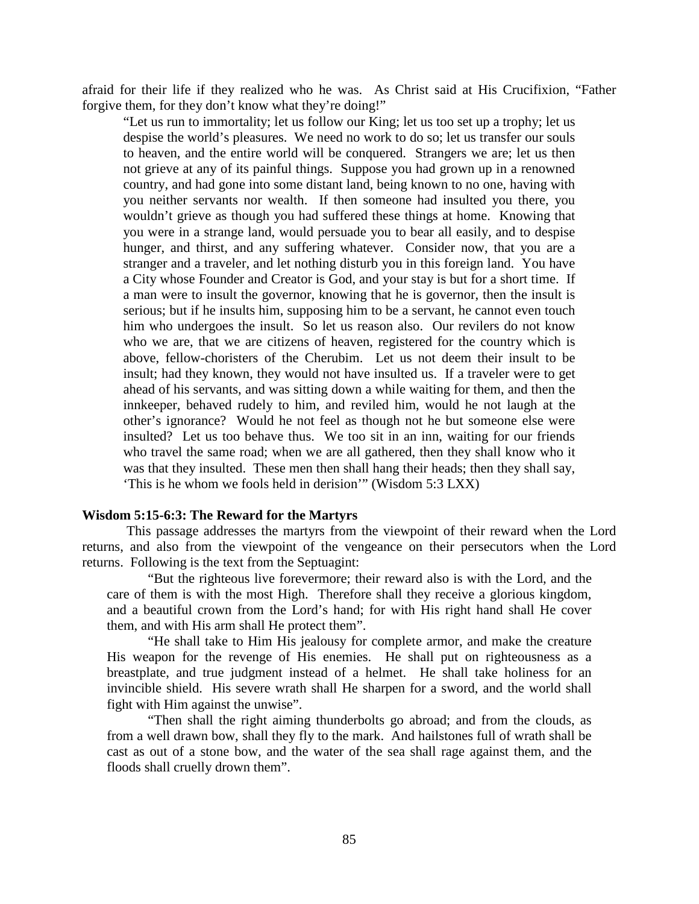afraid for their life if they realized who he was. As Christ said at His Crucifixion, "Father forgive them, for they don't know what they're doing!"

"Let us run to immortality; let us follow our King; let us too set up a trophy; let us despise the world's pleasures. We need no work to do so; let us transfer our souls to heaven, and the entire world will be conquered. Strangers we are; let us then not grieve at any of its painful things. Suppose you had grown up in a renowned country, and had gone into some distant land, being known to no one, having with you neither servants nor wealth. If then someone had insulted you there, you wouldn't grieve as though you had suffered these things at home. Knowing that you were in a strange land, would persuade you to bear all easily, and to despise hunger, and thirst, and any suffering whatever. Consider now, that you are a stranger and a traveler, and let nothing disturb you in this foreign land. You have a City whose Founder and Creator is God, and your stay is but for a short time. If a man were to insult the governor, knowing that he is governor, then the insult is serious; but if he insults him, supposing him to be a servant, he cannot even touch him who undergoes the insult. So let us reason also. Our revilers do not know who we are, that we are citizens of heaven, registered for the country which is above, fellow-choristers of the Cherubim. Let us not deem their insult to be insult; had they known, they would not have insulted us. If a traveler were to get ahead of his servants, and was sitting down a while waiting for them, and then the innkeeper, behaved rudely to him, and reviled him, would he not laugh at the other's ignorance? Would he not feel as though not he but someone else were insulted? Let us too behave thus. We too sit in an inn, waiting for our friends who travel the same road; when we are all gathered, then they shall know who it was that they insulted. These men then shall hang their heads; then they shall say, 'This is he whom we fools held in derision'" (Wisdom 5:3 LXX)

#### <span id="page-6-0"></span>**Wisdom 5:15-6:3: The Reward for the Martyrs**

This passage addresses the martyrs from the viewpoint of their reward when the Lord returns, and also from the viewpoint of the vengeance on their persecutors when the Lord returns. Following is the text from the Septuagint:

"But the righteous live forevermore; their reward also is with the Lord, and the care of them is with the most High. Therefore shall they receive a glorious kingdom, and a beautiful crown from the Lord's hand; for with His right hand shall He cover them, and with His arm shall He protect them".

"He shall take to Him His jealousy for complete armor, and make the creature His weapon for the revenge of His enemies. He shall put on righteousness as a breastplate, and true judgment instead of a helmet. He shall take holiness for an invincible shield. His severe wrath shall He sharpen for a sword, and the world shall fight with Him against the unwise".

"Then shall the right aiming thunderbolts go abroad; and from the clouds, as from a well drawn bow, shall they fly to the mark. And hailstones full of wrath shall be cast as out of a stone bow, and the water of the sea shall rage against them, and the floods shall cruelly drown them".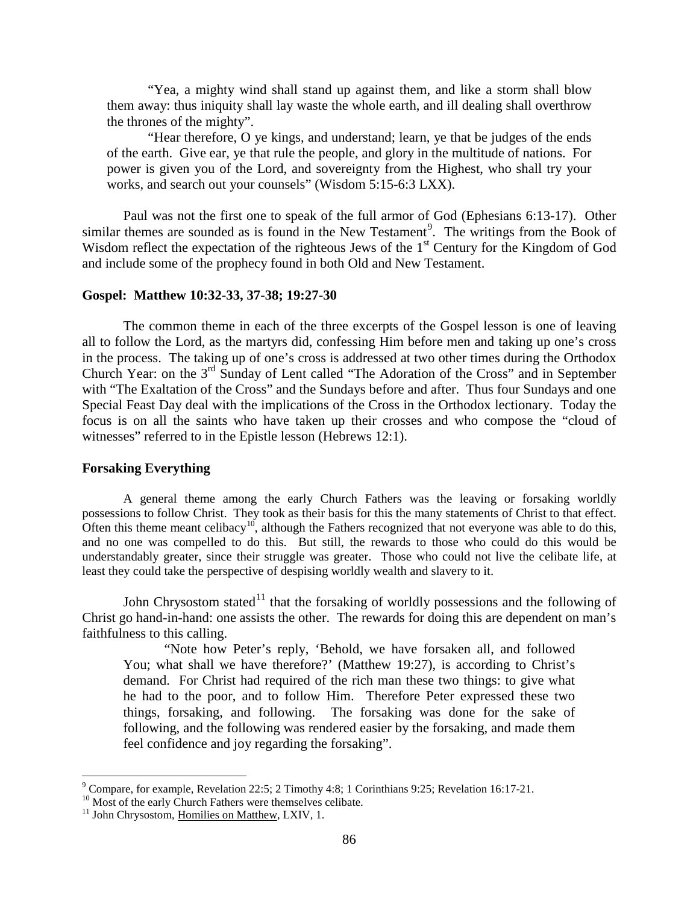"Yea, a mighty wind shall stand up against them, and like a storm shall blow them away: thus iniquity shall lay waste the whole earth, and ill dealing shall overthrow the thrones of the mighty".

"Hear therefore, O ye kings, and understand; learn, ye that be judges of the ends of the earth. Give ear, ye that rule the people, and glory in the multitude of nations. For power is given you of the Lord, and sovereignty from the Highest, who shall try your works, and search out your counsels" (Wisdom 5:15-6:3 LXX).

Paul was not the first one to speak of the full armor of God (Ephesians 6:13-17). Other similar themes are sounded as is found in the New Testament<sup>[9](#page-7-2)</sup>. The writings from the Book of Wisdom reflect the expectation of the righteous Jews of the 1<sup>st</sup> Century for the Kingdom of God and include some of the prophecy found in both Old and New Testament.

#### <span id="page-7-0"></span>**Gospel: Matthew 10:32-33, 37-38; 19:27-30**

The common theme in each of the three excerpts of the Gospel lesson is one of leaving all to follow the Lord, as the martyrs did, confessing Him before men and taking up one's cross in the process. The taking up of one's cross is addressed at two other times during the Orthodox Church Year: on the 3<sup>rd</sup> Sunday of Lent called "The Adoration of the Cross" and in September with "The Exaltation of the Cross" and the Sundays before and after. Thus four Sundays and one Special Feast Day deal with the implications of the Cross in the Orthodox lectionary. Today the focus is on all the saints who have taken up their crosses and who compose the "cloud of witnesses" referred to in the Epistle lesson (Hebrews 12:1).

### <span id="page-7-1"></span>**Forsaking Everything**

A general theme among the early Church Fathers was the leaving or forsaking worldly possessions to follow Christ. They took as their basis for this the many statements of Christ to that effect. Often this theme meant celibacy<sup>[10](#page-7-3)</sup>, although the Fathers recognized that not everyone was able to do this, and no one was compelled to do this. But still, the rewards to those who could do this would be understandably greater, since their struggle was greater. Those who could not live the celibate life, at least they could take the perspective of despising worldly wealth and slavery to it.

John Chrysostom stated<sup>[11](#page-7-4)</sup> that the forsaking of worldly possessions and the following of Christ go hand-in-hand: one assists the other. The rewards for doing this are dependent on man's faithfulness to this calling.

"Note how Peter's reply, 'Behold, we have forsaken all, and followed You; what shall we have therefore?' (Matthew 19:27), is according to Christ's demand. For Christ had required of the rich man these two things: to give what he had to the poor, and to follow Him. Therefore Peter expressed these two things, forsaking, and following. The forsaking was done for the sake of following, and the following was rendered easier by the forsaking, and made them feel confidence and joy regarding the forsaking".

<span id="page-7-2"></span><sup>&</sup>lt;sup>9</sup> Compare, for example, Revelation 22:5; 2 Timothy 4:8; 1 Corinthians 9:25; Revelation 16:17-21.<br><sup>10</sup> Most of the early Church Fathers were themselves celibate. <sup>11</sup> John Chrysostom, Homilies on Matthew, LXIV, 1.

<span id="page-7-3"></span>

<span id="page-7-4"></span>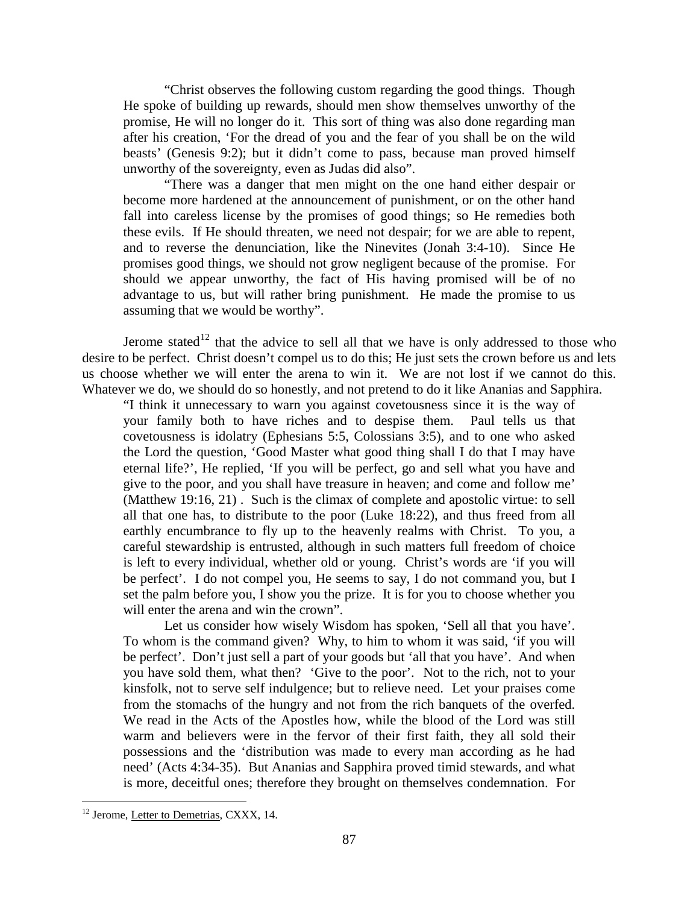"Christ observes the following custom regarding the good things. Though He spoke of building up rewards, should men show themselves unworthy of the promise, He will no longer do it. This sort of thing was also done regarding man after his creation, 'For the dread of you and the fear of you shall be on the wild beasts' (Genesis 9:2); but it didn't come to pass, because man proved himself unworthy of the sovereignty, even as Judas did also".

"There was a danger that men might on the one hand either despair or become more hardened at the announcement of punishment, or on the other hand fall into careless license by the promises of good things; so He remedies both these evils. If He should threaten, we need not despair; for we are able to repent, and to reverse the denunciation, like the Ninevites (Jonah 3:4-10). Since He promises good things, we should not grow negligent because of the promise. For should we appear unworthy, the fact of His having promised will be of no advantage to us, but will rather bring punishment. He made the promise to us assuming that we would be worthy".

Jerome stated<sup>[12](#page-8-0)</sup> that the advice to sell all that we have is only addressed to those who desire to be perfect. Christ doesn't compel us to do this; He just sets the crown before us and lets us choose whether we will enter the arena to win it. We are not lost if we cannot do this. Whatever we do, we should do so honestly, and not pretend to do it like Ananias and Sapphira.

"I think it unnecessary to warn you against covetousness since it is the way of your family both to have riches and to despise them. Paul tells us that covetousness is idolatry (Ephesians 5:5, Colossians 3:5), and to one who asked the Lord the question, 'Good Master what good thing shall I do that I may have eternal life?', He replied, 'If you will be perfect, go and sell what you have and give to the poor, and you shall have treasure in heaven; and come and follow me' (Matthew 19:16, 21) . Such is the climax of complete and apostolic virtue: to sell all that one has, to distribute to the poor (Luke 18:22), and thus freed from all earthly encumbrance to fly up to the heavenly realms with Christ. To you, a careful stewardship is entrusted, although in such matters full freedom of choice is left to every individual, whether old or young. Christ's words are 'if you will be perfect'. I do not compel you, He seems to say, I do not command you, but I set the palm before you, I show you the prize. It is for you to choose whether you will enter the arena and win the crown".

Let us consider how wisely Wisdom has spoken, 'Sell all that you have'. To whom is the command given? Why, to him to whom it was said, 'if you will be perfect'. Don't just sell a part of your goods but 'all that you have'. And when you have sold them, what then? 'Give to the poor'. Not to the rich, not to your kinsfolk, not to serve self indulgence; but to relieve need. Let your praises come from the stomachs of the hungry and not from the rich banquets of the overfed. We read in the Acts of the Apostles how, while the blood of the Lord was still warm and believers were in the fervor of their first faith, they all sold their possessions and the 'distribution was made to every man according as he had need' (Acts 4:34-35). But Ananias and Sapphira proved timid stewards, and what is more, deceitful ones; therefore they brought on themselves condemnation. For

<span id="page-8-0"></span><sup>&</sup>lt;sup>12</sup> Jerome, Letter to Demetrias, CXXX, 14.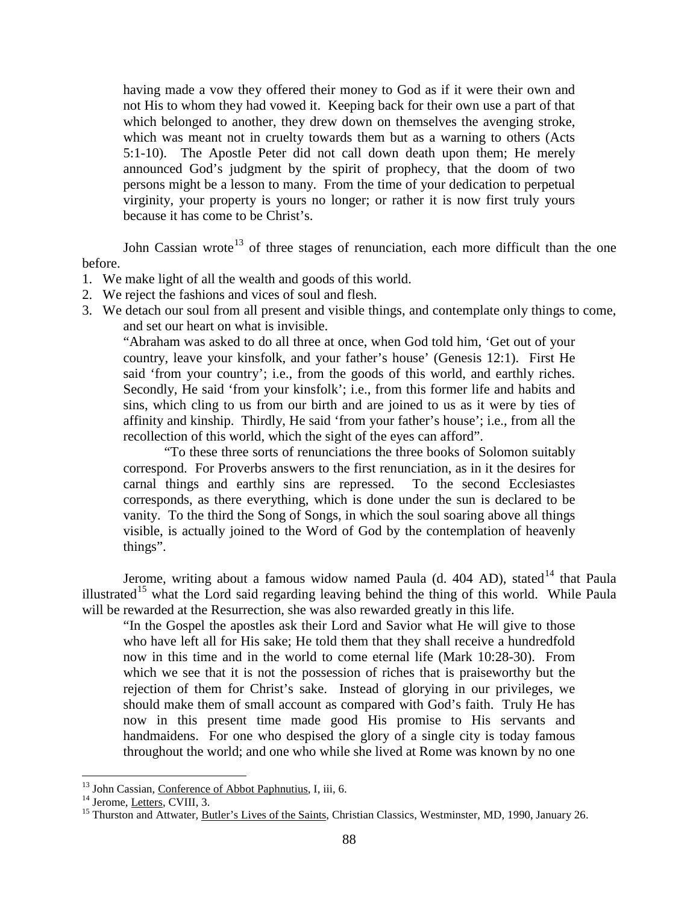having made a vow they offered their money to God as if it were their own and not His to whom they had vowed it. Keeping back for their own use a part of that which belonged to another, they drew down on themselves the avenging stroke, which was meant not in cruelty towards them but as a warning to others (Acts 5:1-10). The Apostle Peter did not call down death upon them; He merely announced God's judgment by the spirit of prophecy, that the doom of two persons might be a lesson to many. From the time of your dedication to perpetual virginity, your property is yours no longer; or rather it is now first truly yours because it has come to be Christ's.

John Cassian wrote<sup>[13](#page-9-0)</sup> of three stages of renunciation, each more difficult than the one before.

- 1. We make light of all the wealth and goods of this world.
- 2. We reject the fashions and vices of soul and flesh.
- 3. We detach our soul from all present and visible things, and contemplate only things to come, and set our heart on what is invisible.

"Abraham was asked to do all three at once, when God told him, 'Get out of your country, leave your kinsfolk, and your father's house' (Genesis 12:1). First He said 'from your country'; i.e., from the goods of this world, and earthly riches. Secondly, He said 'from your kinsfolk'; i.e., from this former life and habits and sins, which cling to us from our birth and are joined to us as it were by ties of affinity and kinship. Thirdly, He said 'from your father's house'; i.e., from all the recollection of this world, which the sight of the eyes can afford".

"To these three sorts of renunciations the three books of Solomon suitably correspond. For Proverbs answers to the first renunciation, as in it the desires for carnal things and earthly sins are repressed. To the second Ecclesiastes corresponds, as there everything, which is done under the sun is declared to be vanity. To the third the Song of Songs, in which the soul soaring above all things visible, is actually joined to the Word of God by the contemplation of heavenly things".

Jerome, writing about a famous widow named Paula (d. 404 AD), stated<sup>[14](#page-9-1)</sup> that Paula illustrated<sup>[15](#page-9-2)</sup> what the Lord said regarding leaving behind the thing of this world. While Paula will be rewarded at the Resurrection, she was also rewarded greatly in this life.

"In the Gospel the apostles ask their Lord and Savior what He will give to those who have left all for His sake; He told them that they shall receive a hundredfold now in this time and in the world to come eternal life (Mark 10:28-30). From which we see that it is not the possession of riches that is praiseworthy but the rejection of them for Christ's sake. Instead of glorying in our privileges, we should make them of small account as compared with God's faith. Truly He has now in this present time made good His promise to His servants and handmaidens. For one who despised the glory of a single city is today famous throughout the world; and one who while she lived at Rome was known by no one

<span id="page-9-2"></span>

<span id="page-9-1"></span><span id="page-9-0"></span><sup>&</sup>lt;sup>13</sup> John Cassian, <u>Conference of Abbot Paphnutius</u>, I, iii, 6.<br><sup>14</sup> Jerome, <u>Letters</u>, CVIII, 3.<br><sup>15</sup> Thurston and Attwater, <u>Butler's Lives of the Saints</u>, Christian Classics, Westminster, MD, 1990, January 26.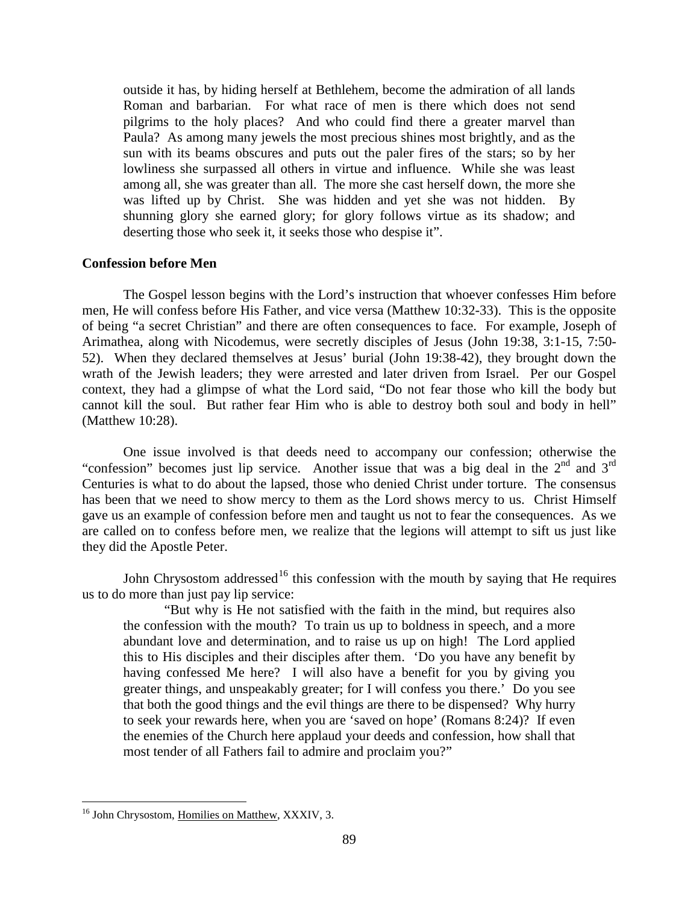outside it has, by hiding herself at Bethlehem, become the admiration of all lands Roman and barbarian. For what race of men is there which does not send pilgrims to the holy places? And who could find there a greater marvel than Paula? As among many jewels the most precious shines most brightly, and as the sun with its beams obscures and puts out the paler fires of the stars; so by her lowliness she surpassed all others in virtue and influence. While she was least among all, she was greater than all. The more she cast herself down, the more she was lifted up by Christ. She was hidden and yet she was not hidden. By shunning glory she earned glory; for glory follows virtue as its shadow; and deserting those who seek it, it seeks those who despise it".

### <span id="page-10-0"></span>**Confession before Men**

The Gospel lesson begins with the Lord's instruction that whoever confesses Him before men, He will confess before His Father, and vice versa (Matthew 10:32-33). This is the opposite of being "a secret Christian" and there are often consequences to face. For example, Joseph of Arimathea, along with Nicodemus, were secretly disciples of Jesus (John 19:38, 3:1-15, 7:50- 52). When they declared themselves at Jesus' burial (John 19:38-42), they brought down the wrath of the Jewish leaders; they were arrested and later driven from Israel. Per our Gospel context, they had a glimpse of what the Lord said, "Do not fear those who kill the body but cannot kill the soul. But rather fear Him who is able to destroy both soul and body in hell" (Matthew 10:28).

One issue involved is that deeds need to accompany our confession; otherwise the "confession" becomes just lip service. Another issue that was a big deal in the  $2<sup>nd</sup>$  and  $3<sup>rd</sup>$ Centuries is what to do about the lapsed, those who denied Christ under torture. The consensus has been that we need to show mercy to them as the Lord shows mercy to us. Christ Himself gave us an example of confession before men and taught us not to fear the consequences. As we are called on to confess before men, we realize that the legions will attempt to sift us just like they did the Apostle Peter.

John Chrysostom addressed<sup>[16](#page-10-1)</sup> this confession with the mouth by saying that He requires us to do more than just pay lip service:

"But why is He not satisfied with the faith in the mind, but requires also the confession with the mouth? To train us up to boldness in speech, and a more abundant love and determination, and to raise us up on high! The Lord applied this to His disciples and their disciples after them. 'Do you have any benefit by having confessed Me here? I will also have a benefit for you by giving you greater things, and unspeakably greater; for I will confess you there.' Do you see that both the good things and the evil things are there to be dispensed? Why hurry to seek your rewards here, when you are 'saved on hope' (Romans 8:24)? If even the enemies of the Church here applaud your deeds and confession, how shall that most tender of all Fathers fail to admire and proclaim you?"

<span id="page-10-1"></span><sup>&</sup>lt;sup>16</sup> John Chrysostom, Homilies on Matthew, XXXIV, 3.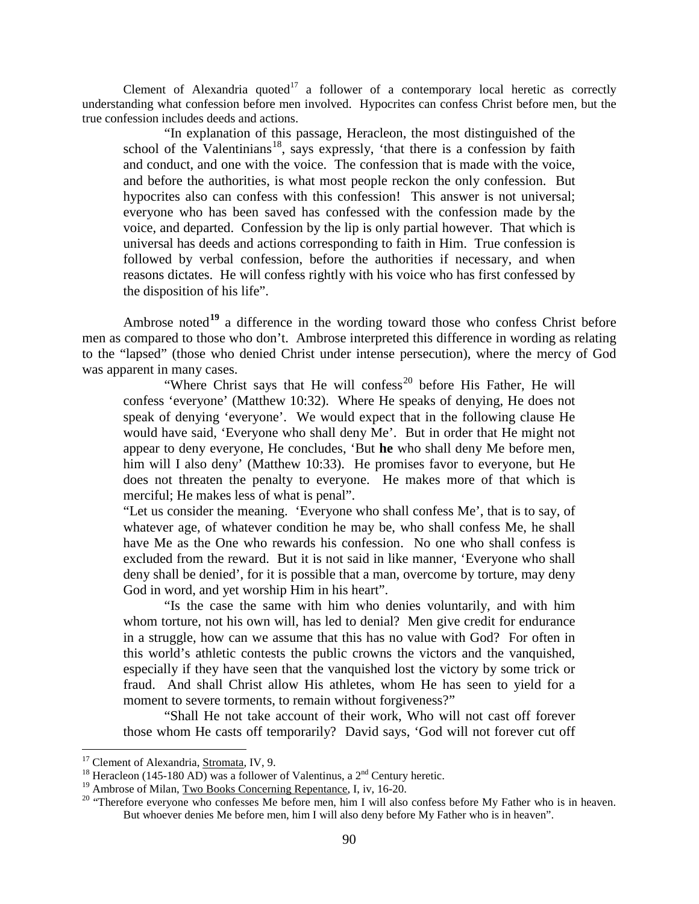Clement of Alexandria quoted<sup>[17](#page-11-0)</sup> a follower of a contemporary local heretic as correctly understanding what confession before men involved. Hypocrites can confess Christ before men, but the true confession includes deeds and actions.

"In explanation of this passage, Heracleon, the most distinguished of the school of the Valentinians<sup>18</sup>, says expressly, 'that there is a confession by faith and conduct, and one with the voice. The confession that is made with the voice, and before the authorities, is what most people reckon the only confession. But hypocrites also can confess with this confession! This answer is not universal; everyone who has been saved has confessed with the confession made by the voice, and departed. Confession by the lip is only partial however. That which is universal has deeds and actions corresponding to faith in Him. True confession is followed by verbal confession, before the authorities if necessary, and when reasons dictates. He will confess rightly with his voice who has first confessed by the disposition of his life".

Ambrose noted**[19](#page-11-2)** a difference in the wording toward those who confess Christ before men as compared to those who don't. Ambrose interpreted this difference in wording as relating to the "lapsed" (those who denied Christ under intense persecution), where the mercy of God was apparent in many cases.

"Where Christ says that He will confess<sup>[20](#page-11-3)</sup> before His Father, He will confess 'everyone' (Matthew 10:32). Where He speaks of denying, He does not speak of denying 'everyone'. We would expect that in the following clause He would have said, 'Everyone who shall deny Me'. But in order that He might not appear to deny everyone, He concludes, 'But **he** who shall deny Me before men, him will I also deny' (Matthew 10:33). He promises favor to everyone, but He does not threaten the penalty to everyone. He makes more of that which is merciful; He makes less of what is penal".

"Let us consider the meaning. 'Everyone who shall confess Me', that is to say, of whatever age, of whatever condition he may be, who shall confess Me, he shall have Me as the One who rewards his confession. No one who shall confess is excluded from the reward. But it is not said in like manner, 'Everyone who shall deny shall be denied', for it is possible that a man, overcome by torture, may deny God in word, and yet worship Him in his heart".

"Is the case the same with him who denies voluntarily, and with him whom torture, not his own will, has led to denial? Men give credit for endurance in a struggle, how can we assume that this has no value with God? For often in this world's athletic contests the public crowns the victors and the vanquished, especially if they have seen that the vanquished lost the victory by some trick or fraud. And shall Christ allow His athletes, whom He has seen to yield for a moment to severe torments, to remain without forgiveness?"

"Shall He not take account of their work, Who will not cast off forever those whom He casts off temporarily? David says, 'God will not forever cut off

<span id="page-11-1"></span>

<span id="page-11-0"></span><sup>&</sup>lt;sup>17</sup> Clement of Alexandria, <u>Stromata</u>, IV, 9.<br><sup>18</sup> Heracleon (145-180 AD) was a follower of Valentinus, a 2<sup>nd</sup> Century heretic.<br><sup>19</sup> Ambrose of Milan, <u>Two Books Concerning Repentance</u>, I, iv, 16-20.

<span id="page-11-3"></span><span id="page-11-2"></span><sup>&</sup>lt;sup>20</sup> "Therefore everyone who confesses Me before men, him I will also confess before My Father who is in heaven. But whoever denies Me before men, him I will also deny before My Father who is in heaven".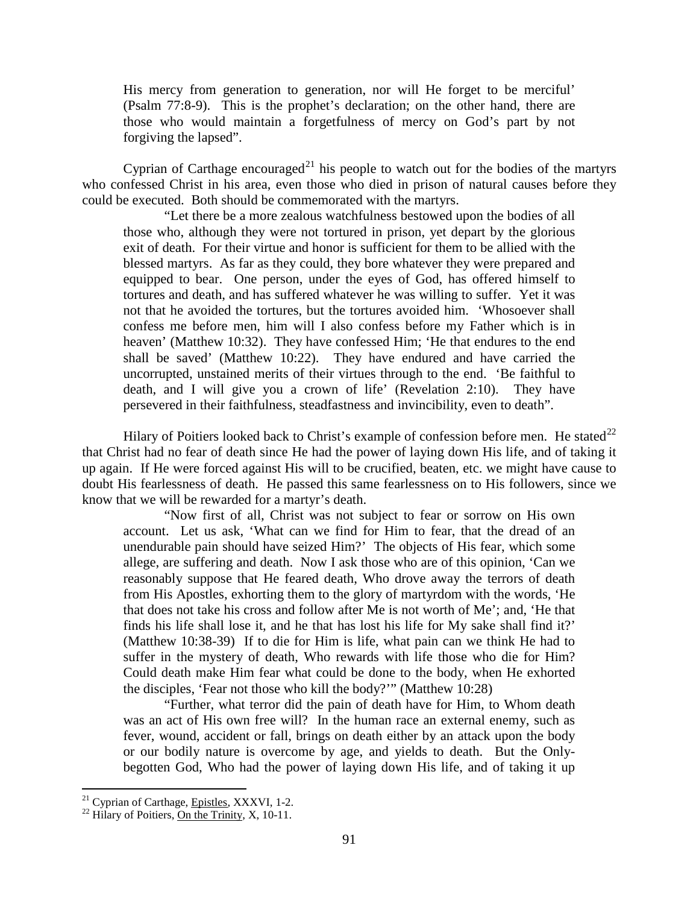His mercy from generation to generation, nor will He forget to be merciful' (Psalm 77:8-9). This is the prophet's declaration; on the other hand, there are those who would maintain a forgetfulness of mercy on God's part by not forgiving the lapsed".

Cyprian of Carthage encouraged<sup>[21](#page-12-0)</sup> his people to watch out for the bodies of the martyrs who confessed Christ in his area, even those who died in prison of natural causes before they could be executed. Both should be commemorated with the martyrs.

"Let there be a more zealous watchfulness bestowed upon the bodies of all those who, although they were not tortured in prison, yet depart by the glorious exit of death. For their virtue and honor is sufficient for them to be allied with the blessed martyrs. As far as they could, they bore whatever they were prepared and equipped to bear. One person, under the eyes of God, has offered himself to tortures and death, and has suffered whatever he was willing to suffer. Yet it was not that he avoided the tortures, but the tortures avoided him. 'Whosoever shall confess me before men, him will I also confess before my Father which is in heaven' (Matthew 10:32). They have confessed Him; 'He that endures to the end shall be saved' (Matthew 10:22). They have endured and have carried the uncorrupted, unstained merits of their virtues through to the end. 'Be faithful to death, and I will give you a crown of life' (Revelation 2:10). They have persevered in their faithfulness, steadfastness and invincibility, even to death".

Hilary of Poitiers looked back to Christ's example of confession before men. He stated<sup>[22](#page-12-1)</sup> that Christ had no fear of death since He had the power of laying down His life, and of taking it up again. If He were forced against His will to be crucified, beaten, etc. we might have cause to doubt His fearlessness of death. He passed this same fearlessness on to His followers, since we know that we will be rewarded for a martyr's death.

"Now first of all, Christ was not subject to fear or sorrow on His own account. Let us ask, 'What can we find for Him to fear, that the dread of an unendurable pain should have seized Him?' The objects of His fear, which some allege, are suffering and death. Now I ask those who are of this opinion, 'Can we reasonably suppose that He feared death, Who drove away the terrors of death from His Apostles, exhorting them to the glory of martyrdom with the words, 'He that does not take his cross and follow after Me is not worth of Me'; and, 'He that finds his life shall lose it, and he that has lost his life for My sake shall find it?' (Matthew 10:38-39) If to die for Him is life, what pain can we think He had to suffer in the mystery of death, Who rewards with life those who die for Him? Could death make Him fear what could be done to the body, when He exhorted the disciples, 'Fear not those who kill the body?'" (Matthew 10:28)

"Further, what terror did the pain of death have for Him, to Whom death was an act of His own free will? In the human race an external enemy, such as fever, wound, accident or fall, brings on death either by an attack upon the body or our bodily nature is overcome by age, and yields to death. But the Onlybegotten God, Who had the power of laying down His life, and of taking it up

<span id="page-12-1"></span><span id="page-12-0"></span><sup>&</sup>lt;sup>21</sup> Cyprian of Carthage,  $Epistles, XXXVI, 1-2.$ <sup>22</sup> Hilary of Poitiers, <u>On the Trinity</u>, X, 10-11.</u>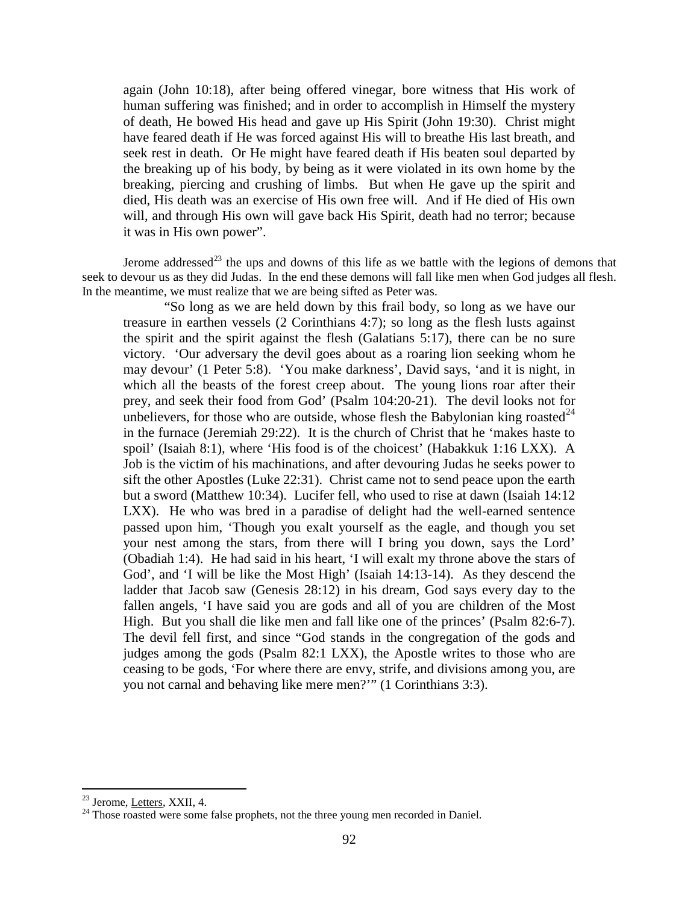again (John 10:18), after being offered vinegar, bore witness that His work of human suffering was finished; and in order to accomplish in Himself the mystery of death, He bowed His head and gave up His Spirit (John 19:30). Christ might have feared death if He was forced against His will to breathe His last breath, and seek rest in death. Or He might have feared death if His beaten soul departed by the breaking up of his body, by being as it were violated in its own home by the breaking, piercing and crushing of limbs. But when He gave up the spirit and died, His death was an exercise of His own free will. And if He died of His own will, and through His own will gave back His Spirit, death had no terror; because it was in His own power".

Jerome addressed<sup>[23](#page-13-1)</sup> the ups and downs of this life as we battle with the legions of demons that seek to devour us as they did Judas. In the end these demons will fall like men when God judges all flesh. In the meantime, we must realize that we are being sifted as Peter was.

"So long as we are held down by this frail body, so long as we have our treasure in earthen vessels (2 Corinthians 4:7); so long as the flesh lusts against the spirit and the spirit against the flesh (Galatians 5:17), there can be no sure victory. 'Our adversary the devil goes about as a roaring lion seeking whom he may devour' (1 Peter 5:8). 'You make darkness', David says, 'and it is night, in which all the beasts of the forest creep about. The young lions roar after their prey, and seek their food from God' (Psalm 104:20-21). The devil looks not for unbelievers, for those who are outside, whose flesh the Babylonian king roasted  $24$ in the furnace (Jeremiah 29:22). It is the church of Christ that he 'makes haste to spoil' (Isaiah 8:1), where 'His food is of the choicest' (Habakkuk 1:16 LXX). A Job is the victim of his machinations, and after devouring Judas he seeks power to sift the other Apostles (Luke 22:31). Christ came not to send peace upon the earth but a sword (Matthew 10:34). Lucifer fell, who used to rise at dawn (Isaiah 14:12 LXX). He who was bred in a paradise of delight had the well-earned sentence passed upon him, 'Though you exalt yourself as the eagle, and though you set your nest among the stars, from there will I bring you down, says the Lord' (Obadiah 1:4). He had said in his heart, 'I will exalt my throne above the stars of God', and 'I will be like the Most High' (Isaiah 14:13-14). As they descend the ladder that Jacob saw (Genesis 28:12) in his dream, God says every day to the fallen angels, 'I have said you are gods and all of you are children of the Most High. But you shall die like men and fall like one of the princes' (Psalm 82:6-7). The devil fell first, and since "God stands in the congregation of the gods and judges among the gods (Psalm 82:1 LXX), the Apostle writes to those who are ceasing to be gods, 'For where there are envy, strife, and divisions among you, are you not carnal and behaving like mere men?'" (1 Corinthians 3:3).

<span id="page-13-2"></span><span id="page-13-1"></span><span id="page-13-0"></span><sup>&</sup>lt;sup>23</sup> Jerome, <u>Letters</u>, XXII, 4.<br><sup>24</sup> Those roasted were some false prophets, not the three young men recorded in Daniel.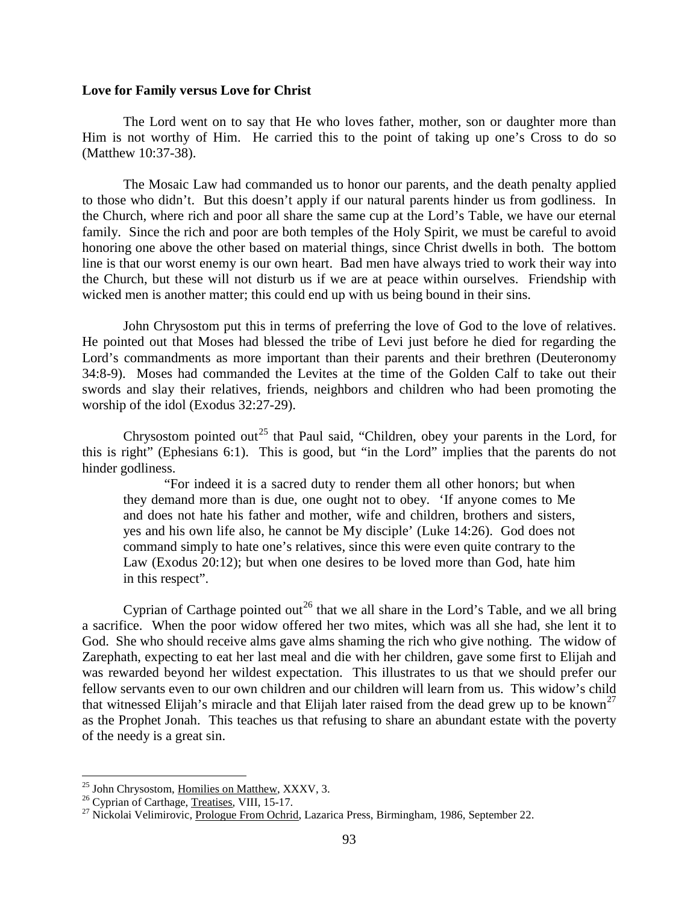#### **Love for Family versus Love for Christ**

The Lord went on to say that He who loves father, mother, son or daughter more than Him is not worthy of Him. He carried this to the point of taking up one's Cross to do so (Matthew 10:37-38).

The Mosaic Law had commanded us to honor our parents, and the death penalty applied to those who didn't. But this doesn't apply if our natural parents hinder us from godliness. In the Church, where rich and poor all share the same cup at the Lord's Table, we have our eternal family. Since the rich and poor are both temples of the Holy Spirit, we must be careful to avoid honoring one above the other based on material things, since Christ dwells in both. The bottom line is that our worst enemy is our own heart. Bad men have always tried to work their way into the Church, but these will not disturb us if we are at peace within ourselves. Friendship with wicked men is another matter; this could end up with us being bound in their sins.

John Chrysostom put this in terms of preferring the love of God to the love of relatives. He pointed out that Moses had blessed the tribe of Levi just before he died for regarding the Lord's commandments as more important than their parents and their brethren (Deuteronomy 34:8-9). Moses had commanded the Levites at the time of the Golden Calf to take out their swords and slay their relatives, friends, neighbors and children who had been promoting the worship of the idol (Exodus 32:27-29).

Chrysostom pointed out<sup>[25](#page-14-0)</sup> that Paul said, "Children, obey your parents in the Lord, for this is right" (Ephesians 6:1). This is good, but "in the Lord" implies that the parents do not hinder godliness.

"For indeed it is a sacred duty to render them all other honors; but when they demand more than is due, one ought not to obey. 'If anyone comes to Me and does not hate his father and mother, wife and children, brothers and sisters, yes and his own life also, he cannot be My disciple' (Luke 14:26). God does not command simply to hate one's relatives, since this were even quite contrary to the Law (Exodus 20:12); but when one desires to be loved more than God, hate him in this respect".

Cyprian of Carthage pointed out<sup>[26](#page-14-1)</sup> that we all share in the Lord's Table, and we all bring a sacrifice. When the poor widow offered her two mites, which was all she had, she lent it to God. She who should receive alms gave alms shaming the rich who give nothing. The widow of Zarephath, expecting to eat her last meal and die with her children, gave some first to Elijah and was rewarded beyond her wildest expectation. This illustrates to us that we should prefer our fellow servants even to our own children and our children will learn from us. This widow's child that witnessed Elijah's miracle and that Elijah later raised from the dead grew up to be known<sup>[27](#page-14-2)</sup> as the Prophet Jonah. This teaches us that refusing to share an abundant estate with the poverty of the needy is a great sin.

<span id="page-14-2"></span>

<span id="page-14-1"></span><span id="page-14-0"></span><sup>&</sup>lt;sup>25</sup> John Chrysostom, <u>Homilies on Matthew</u>, XXXV, 3.<br><sup>26</sup> Cyprian of Carthage, <u>Treatises</u>, VIII, 15-17.<br><sup>27</sup> Nickolai Velimirovic, Prologue From Ochrid, Lazarica Press, Birmingham, 1986, September 22.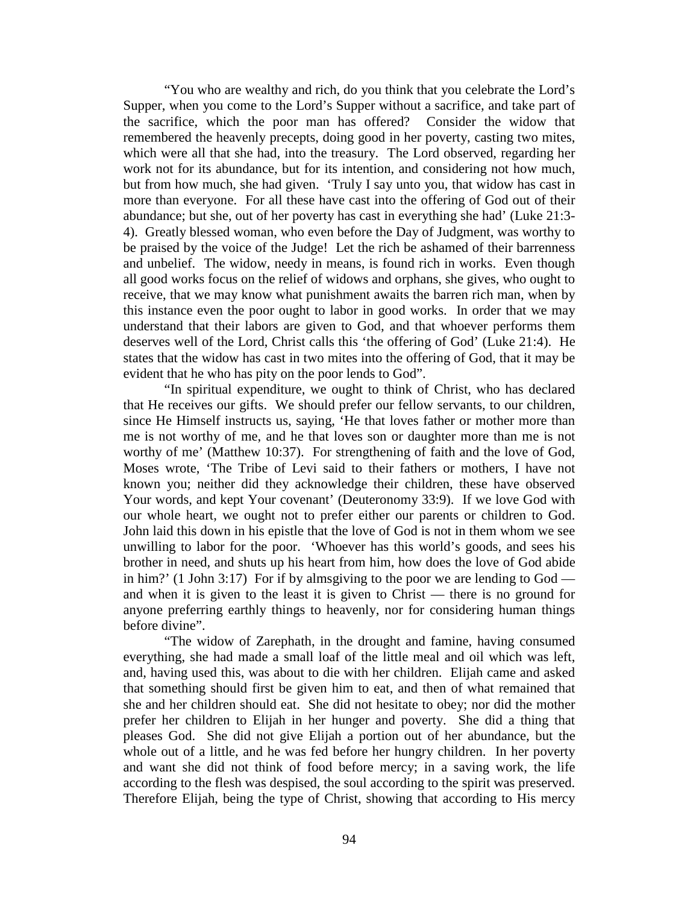"You who are wealthy and rich, do you think that you celebrate the Lord's Supper, when you come to the Lord's Supper without a sacrifice, and take part of the sacrifice, which the poor man has offered? Consider the widow that remembered the heavenly precepts, doing good in her poverty, casting two mites, which were all that she had, into the treasury. The Lord observed, regarding her work not for its abundance, but for its intention, and considering not how much, but from how much, she had given. 'Truly I say unto you, that widow has cast in more than everyone. For all these have cast into the offering of God out of their abundance; but she, out of her poverty has cast in everything she had' (Luke 21:3- 4). Greatly blessed woman, who even before the Day of Judgment, was worthy to be praised by the voice of the Judge! Let the rich be ashamed of their barrenness and unbelief. The widow, needy in means, is found rich in works. Even though all good works focus on the relief of widows and orphans, she gives, who ought to receive, that we may know what punishment awaits the barren rich man, when by this instance even the poor ought to labor in good works. In order that we may understand that their labors are given to God, and that whoever performs them deserves well of the Lord, Christ calls this 'the offering of God' (Luke 21:4). He states that the widow has cast in two mites into the offering of God, that it may be evident that he who has pity on the poor lends to God".

"In spiritual expenditure, we ought to think of Christ, who has declared that He receives our gifts. We should prefer our fellow servants, to our children, since He Himself instructs us, saying, 'He that loves father or mother more than me is not worthy of me, and he that loves son or daughter more than me is not worthy of me' (Matthew 10:37). For strengthening of faith and the love of God, Moses wrote, 'The Tribe of Levi said to their fathers or mothers, I have not known you; neither did they acknowledge their children, these have observed Your words, and kept Your covenant' (Deuteronomy 33:9). If we love God with our whole heart, we ought not to prefer either our parents or children to God. John laid this down in his epistle that the love of God is not in them whom we see unwilling to labor for the poor. 'Whoever has this world's goods, and sees his brother in need, and shuts up his heart from him, how does the love of God abide in him?' (1 John 3:17) For if by almsgiving to the poor we are lending to God and when it is given to the least it is given to Christ — there is no ground for anyone preferring earthly things to heavenly, nor for considering human things before divine".

"The widow of Zarephath, in the drought and famine, having consumed everything, she had made a small loaf of the little meal and oil which was left, and, having used this, was about to die with her children. Elijah came and asked that something should first be given him to eat, and then of what remained that she and her children should eat. She did not hesitate to obey; nor did the mother prefer her children to Elijah in her hunger and poverty. She did a thing that pleases God. She did not give Elijah a portion out of her abundance, but the whole out of a little, and he was fed before her hungry children. In her poverty and want she did not think of food before mercy; in a saving work, the life according to the flesh was despised, the soul according to the spirit was preserved. Therefore Elijah, being the type of Christ, showing that according to His mercy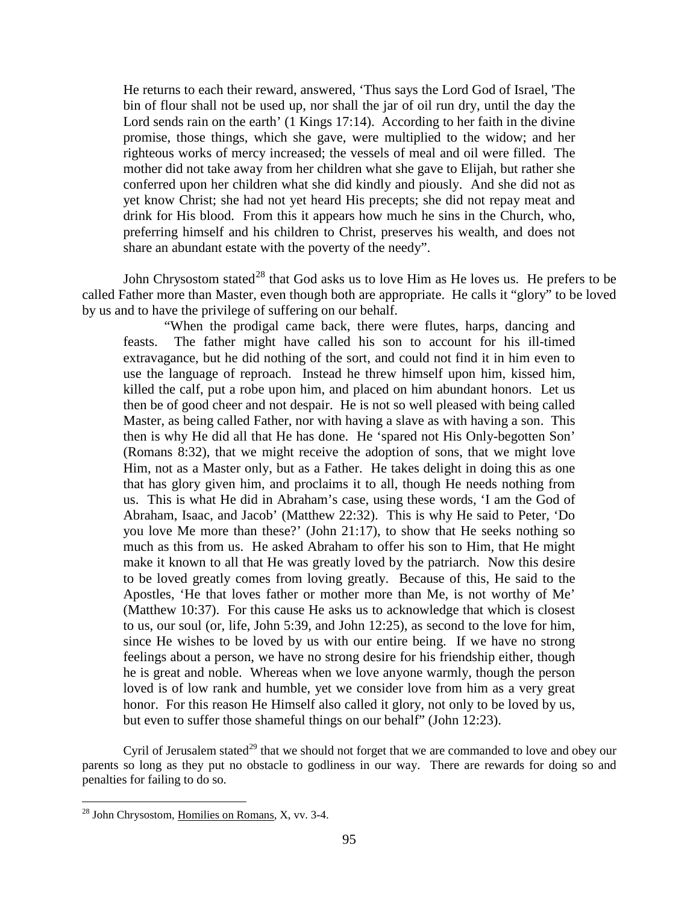He returns to each their reward, answered, 'Thus says the Lord God of Israel, 'The bin of flour shall not be used up, nor shall the jar of oil run dry, until the day the Lord sends rain on the earth' (1 Kings 17:14). According to her faith in the divine promise, those things, which she gave, were multiplied to the widow; and her righteous works of mercy increased; the vessels of meal and oil were filled. The mother did not take away from her children what she gave to Elijah, but rather she conferred upon her children what she did kindly and piously. And she did not as yet know Christ; she had not yet heard His precepts; she did not repay meat and drink for His blood. From this it appears how much he sins in the Church, who, preferring himself and his children to Christ, preserves his wealth, and does not share an abundant estate with the poverty of the needy".

John Chrysostom stated<sup>[28](#page-16-0)</sup> that God asks us to love Him as He loves us. He prefers to be called Father more than Master, even though both are appropriate. He calls it "glory" to be loved by us and to have the privilege of suffering on our behalf.

"When the prodigal came back, there were flutes, harps, dancing and feasts. The father might have called his son to account for his ill-timed extravagance, but he did nothing of the sort, and could not find it in him even to use the language of reproach. Instead he threw himself upon him, kissed him, killed the calf, put a robe upon him, and placed on him abundant honors. Let us then be of good cheer and not despair. He is not so well pleased with being called Master, as being called Father, nor with having a slave as with having a son. This then is why He did all that He has done. He 'spared not His Only-begotten Son' (Romans 8:32), that we might receive the adoption of sons, that we might love Him, not as a Master only, but as a Father. He takes delight in doing this as one that has glory given him, and proclaims it to all, though He needs nothing from us. This is what He did in Abraham's case, using these words, 'I am the God of Abraham, Isaac, and Jacob' (Matthew 22:32). This is why He said to Peter, 'Do you love Me more than these?' (John 21:17), to show that He seeks nothing so much as this from us. He asked Abraham to offer his son to Him, that He might make it known to all that He was greatly loved by the patriarch. Now this desire to be loved greatly comes from loving greatly. Because of this, He said to the Apostles, 'He that loves father or mother more than Me, is not worthy of Me' (Matthew 10:37). For this cause He asks us to acknowledge that which is closest to us, our soul (or, life, John 5:39, and John 12:25), as second to the love for him, since He wishes to be loved by us with our entire being. If we have no strong feelings about a person, we have no strong desire for his friendship either, though he is great and noble. Whereas when we love anyone warmly, though the person loved is of low rank and humble, yet we consider love from him as a very great honor. For this reason He Himself also called it glory, not only to be loved by us, but even to suffer those shameful things on our behalf" (John 12:23).

Cyril of Jerusalem stated<sup>[29](#page-16-1)</sup> that we should not forget that we are commanded to love and obey our parents so long as they put no obstacle to godliness in our way. There are rewards for doing so and penalties for failing to do so.

<span id="page-16-1"></span><span id="page-16-0"></span> $28$  John Chrysostom, Homilies on Romans, X, vv. 3-4.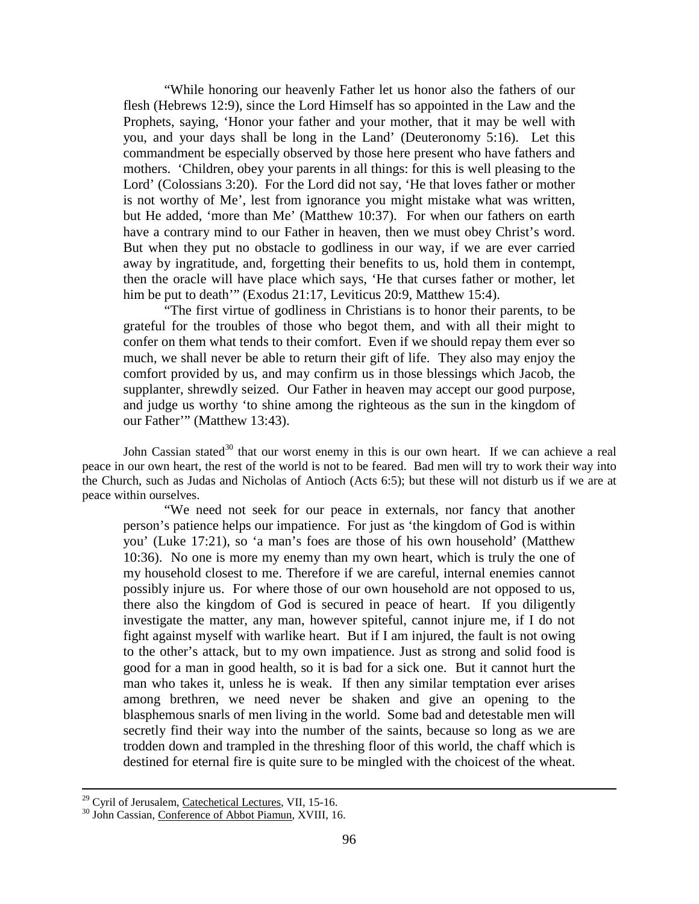"While honoring our heavenly Father let us honor also the fathers of our flesh (Hebrews 12:9), since the Lord Himself has so appointed in the Law and the Prophets, saying, 'Honor your father and your mother, that it may be well with you, and your days shall be long in the Land' (Deuteronomy 5:16). Let this commandment be especially observed by those here present who have fathers and mothers. 'Children, obey your parents in all things: for this is well pleasing to the Lord' (Colossians 3:20). For the Lord did not say, 'He that loves father or mother is not worthy of Me', lest from ignorance you might mistake what was written, but He added, 'more than Me' (Matthew 10:37). For when our fathers on earth have a contrary mind to our Father in heaven, then we must obey Christ's word. But when they put no obstacle to godliness in our way, if we are ever carried away by ingratitude, and, forgetting their benefits to us, hold them in contempt, then the oracle will have place which says, 'He that curses father or mother, let him be put to death" (Exodus 21:17, Leviticus 20:9, Matthew 15:4).

"The first virtue of godliness in Christians is to honor their parents, to be grateful for the troubles of those who begot them, and with all their might to confer on them what tends to their comfort. Even if we should repay them ever so much, we shall never be able to return their gift of life. They also may enjoy the comfort provided by us, and may confirm us in those blessings which Jacob, the supplanter, shrewdly seized. Our Father in heaven may accept our good purpose, and judge us worthy 'to shine among the righteous as the sun in the kingdom of our Father'" (Matthew 13:43).

John Cassian stated<sup>[30](#page-17-0)</sup> that our worst enemy in this is our own heart. If we can achieve a real peace in our own heart, the rest of the world is not to be feared. Bad men will try to work their way into the Church, such as Judas and Nicholas of Antioch (Acts 6:5); but these will not disturb us if we are at peace within ourselves.

"We need not seek for our peace in externals, nor fancy that another person's patience helps our impatience. For just as 'the kingdom of God is within you' (Luke 17:21), so 'a man's foes are those of his own household' (Matthew 10:36). No one is more my enemy than my own heart, which is truly the one of my household closest to me. Therefore if we are careful, internal enemies cannot possibly injure us. For where those of our own household are not opposed to us, there also the kingdom of God is secured in peace of heart. If you diligently investigate the matter, any man, however spiteful, cannot injure me, if I do not fight against myself with warlike heart. But if I am injured, the fault is not owing to the other's attack, but to my own impatience. Just as strong and solid food is good for a man in good health, so it is bad for a sick one. But it cannot hurt the man who takes it, unless he is weak. If then any similar temptation ever arises among brethren, we need never be shaken and give an opening to the blasphemous snarls of men living in the world. Some bad and detestable men will secretly find their way into the number of the saints, because so long as we are trodden down and trampled in the threshing floor of this world, the chaff which is destined for eternal fire is quite sure to be mingled with the choicest of the wheat.

<sup>&</sup>lt;sup>29</sup> Cyril of Jerusalem, Catechetical Lectures, VII, 15-16.<br><sup>30</sup> John Cassian, Conference of Abbot Piamun, XVIII, 16.

<span id="page-17-0"></span>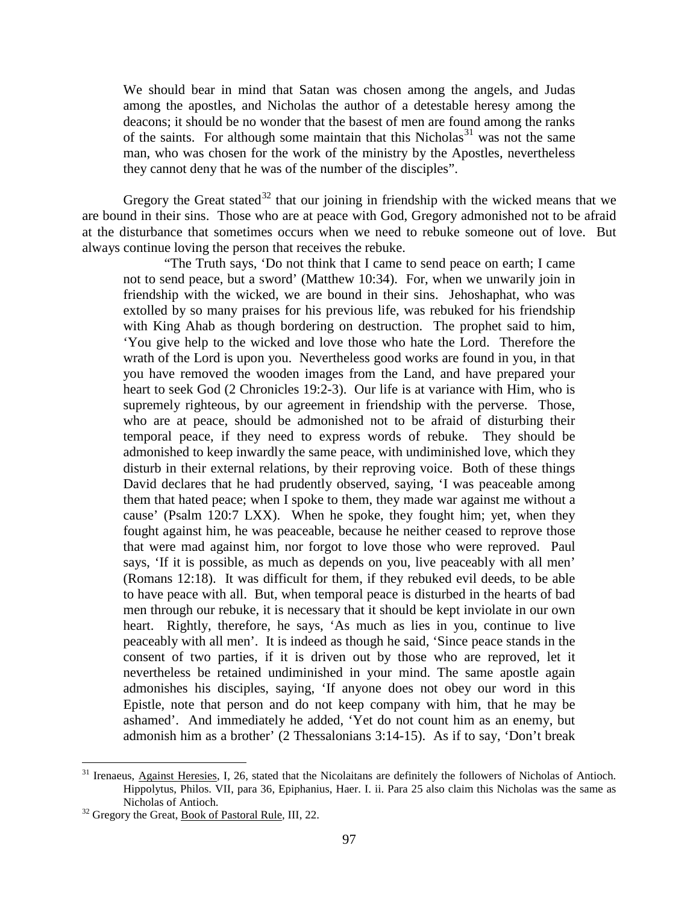We should bear in mind that Satan was chosen among the angels, and Judas among the apostles, and Nicholas the author of a detestable heresy among the deacons; it should be no wonder that the basest of men are found among the ranks of the saints. For although some maintain that this Nicholas<sup>[31](#page-18-0)</sup> was not the same man, who was chosen for the work of the ministry by the Apostles, nevertheless they cannot deny that he was of the number of the disciples".

Gregory the Great stated<sup>[32](#page-18-1)</sup> that our joining in friendship with the wicked means that we are bound in their sins. Those who are at peace with God, Gregory admonished not to be afraid at the disturbance that sometimes occurs when we need to rebuke someone out of love. But always continue loving the person that receives the rebuke.

"The Truth says, 'Do not think that I came to send peace on earth; I came not to send peace, but a sword' (Matthew 10:34). For, when we unwarily join in friendship with the wicked, we are bound in their sins. Jehoshaphat, who was extolled by so many praises for his previous life, was rebuked for his friendship with King Ahab as though bordering on destruction. The prophet said to him, 'You give help to the wicked and love those who hate the Lord. Therefore the wrath of the Lord is upon you. Nevertheless good works are found in you, in that you have removed the wooden images from the Land, and have prepared your heart to seek God (2 Chronicles 19:2-3). Our life is at variance with Him, who is supremely righteous, by our agreement in friendship with the perverse. Those, who are at peace, should be admonished not to be afraid of disturbing their temporal peace, if they need to express words of rebuke. They should be admonished to keep inwardly the same peace, with undiminished love, which they disturb in their external relations, by their reproving voice. Both of these things David declares that he had prudently observed, saying, 'I was peaceable among them that hated peace; when I spoke to them, they made war against me without a cause' (Psalm 120:7 LXX). When he spoke, they fought him; yet, when they fought against him, he was peaceable, because he neither ceased to reprove those that were mad against him, nor forgot to love those who were reproved. Paul says, 'If it is possible, as much as depends on you, live peaceably with all men' (Romans 12:18). It was difficult for them, if they rebuked evil deeds, to be able to have peace with all. But, when temporal peace is disturbed in the hearts of bad men through our rebuke, it is necessary that it should be kept inviolate in our own heart. Rightly, therefore, he says, 'As much as lies in you, continue to live peaceably with all men'. It is indeed as though he said, 'Since peace stands in the consent of two parties, if it is driven out by those who are reproved, let it nevertheless be retained undiminished in your mind. The same apostle again admonishes his disciples, saying, 'If anyone does not obey our word in this Epistle, note that person and do not keep company with him, that he may be ashamed'. And immediately he added, 'Yet do not count him as an enemy, but admonish him as a brother' (2 Thessalonians 3:14-15). As if to say, 'Don't break

<span id="page-18-0"></span><sup>&</sup>lt;sup>31</sup> Irenaeus, Against Heresies, I, 26, stated that the Nicolaitans are definitely the followers of Nicholas of Antioch. Hippolytus, Philos. VII, para 36, Epiphanius, Haer. I. ii. Para 25 also claim this Nicholas was the same as Nicholas of Antioch.<br><sup>32</sup> Gregory the Great, <u>Book of Pastoral Rule</u>, III, 22.

<span id="page-18-1"></span>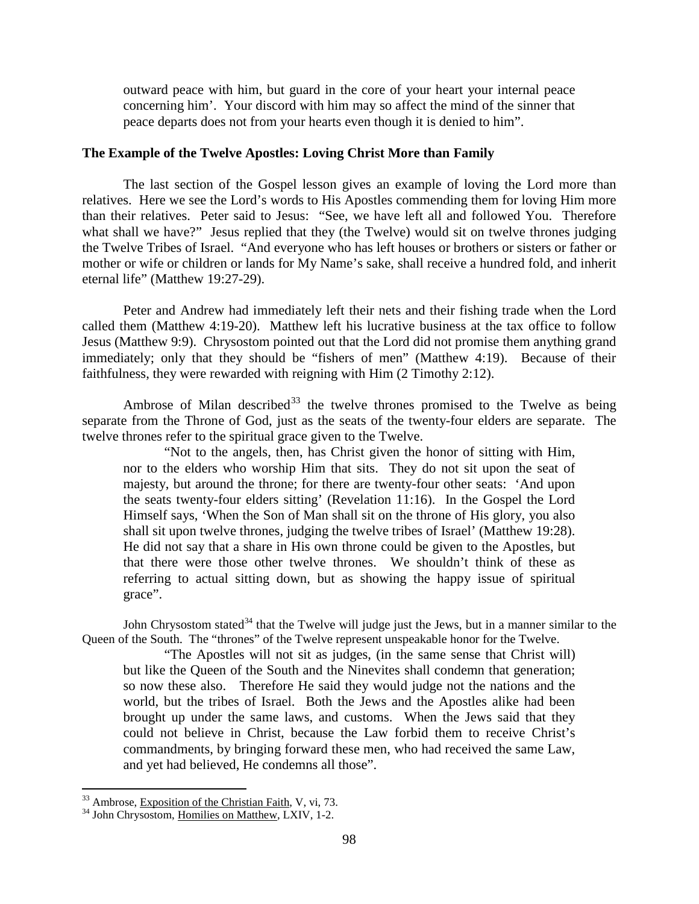outward peace with him, but guard in the core of your heart your internal peace concerning him'. Your discord with him may so affect the mind of the sinner that peace departs does not from your hearts even though it is denied to him".

### <span id="page-19-0"></span>**The Example of the Twelve Apostles: Loving Christ More than Family**

The last section of the Gospel lesson gives an example of loving the Lord more than relatives. Here we see the Lord's words to His Apostles commending them for loving Him more than their relatives. Peter said to Jesus: "See, we have left all and followed You. Therefore what shall we have?" Jesus replied that they (the Twelve) would sit on twelve thrones judging the Twelve Tribes of Israel. "And everyone who has left houses or brothers or sisters or father or mother or wife or children or lands for My Name's sake, shall receive a hundred fold, and inherit eternal life" (Matthew 19:27-29).

Peter and Andrew had immediately left their nets and their fishing trade when the Lord called them (Matthew 4:19-20). Matthew left his lucrative business at the tax office to follow Jesus (Matthew 9:9). Chrysostom pointed out that the Lord did not promise them anything grand immediately; only that they should be "fishers of men" (Matthew 4:19). Because of their faithfulness, they were rewarded with reigning with Him (2 Timothy 2:12).

Ambrose of Milan described<sup>[33](#page-19-1)</sup> the twelve thrones promised to the Twelve as being separate from the Throne of God, just as the seats of the twenty-four elders are separate. The twelve thrones refer to the spiritual grace given to the Twelve.

"Not to the angels, then, has Christ given the honor of sitting with Him, nor to the elders who worship Him that sits. They do not sit upon the seat of majesty, but around the throne; for there are twenty-four other seats: 'And upon the seats twenty-four elders sitting' (Revelation 11:16). In the Gospel the Lord Himself says, 'When the Son of Man shall sit on the throne of His glory, you also shall sit upon twelve thrones, judging the twelve tribes of Israel' (Matthew 19:28). He did not say that a share in His own throne could be given to the Apostles, but that there were those other twelve thrones. We shouldn't think of these as referring to actual sitting down, but as showing the happy issue of spiritual grace".

John Chrysostom stated<sup>[34](#page-19-2)</sup> that the Twelve will judge just the Jews, but in a manner similar to the Queen of the South. The "thrones" of the Twelve represent unspeakable honor for the Twelve.

"The Apostles will not sit as judges, (in the same sense that Christ will) but like the Queen of the South and the Ninevites shall condemn that generation; so now these also. Therefore He said they would judge not the nations and the world, but the tribes of Israel. Both the Jews and the Apostles alike had been brought up under the same laws, and customs. When the Jews said that they could not believe in Christ, because the Law forbid them to receive Christ's commandments, by bringing forward these men, who had received the same Law, and yet had believed, He condemns all those".

<span id="page-19-1"></span> $33$  Ambrose, Exposition of the Christian Faith, V, vi, 73.  $34$  John Chrysostom, Homilies on Matthew, LXIV, 1-2.

<span id="page-19-2"></span>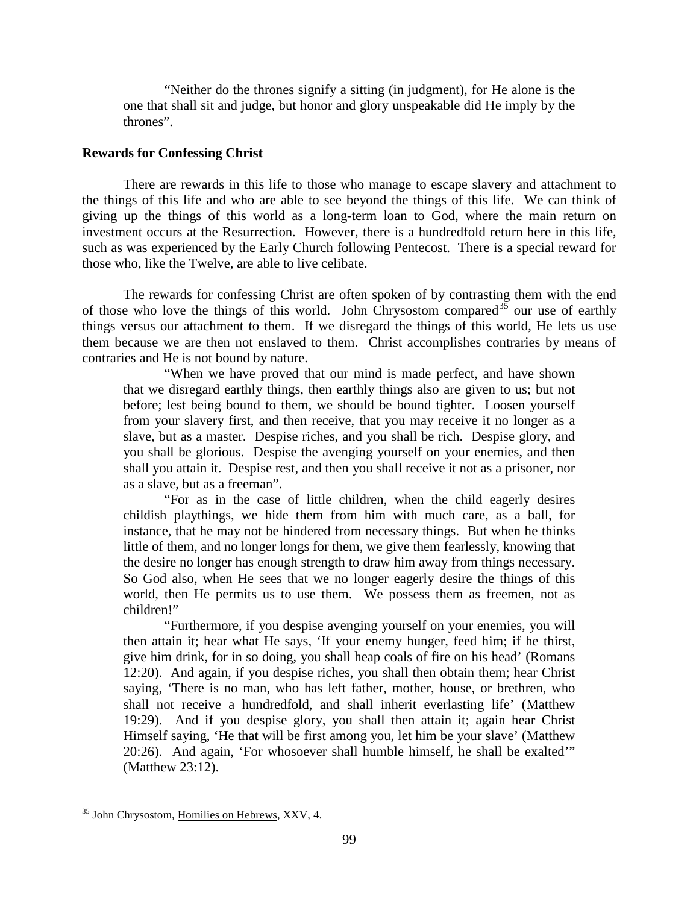"Neither do the thrones signify a sitting (in judgment), for He alone is the one that shall sit and judge, but honor and glory unspeakable did He imply by the thrones".

### <span id="page-20-0"></span>**Rewards for Confessing Christ**

There are rewards in this life to those who manage to escape slavery and attachment to the things of this life and who are able to see beyond the things of this life. We can think of giving up the things of this world as a long-term loan to God, where the main return on investment occurs at the Resurrection. However, there is a hundredfold return here in this life, such as was experienced by the Early Church following Pentecost. There is a special reward for those who, like the Twelve, are able to live celibate.

The rewards for confessing Christ are often spoken of by contrasting them with the end of those who love the things of this world. John Chrysostom compared  $35$  our use of earthly things versus our attachment to them. If we disregard the things of this world, He lets us use them because we are then not enslaved to them. Christ accomplishes contraries by means of contraries and He is not bound by nature.

"When we have proved that our mind is made perfect, and have shown that we disregard earthly things, then earthly things also are given to us; but not before; lest being bound to them, we should be bound tighter. Loosen yourself from your slavery first, and then receive, that you may receive it no longer as a slave, but as a master. Despise riches, and you shall be rich. Despise glory, and you shall be glorious. Despise the avenging yourself on your enemies, and then shall you attain it. Despise rest, and then you shall receive it not as a prisoner, nor as a slave, but as a freeman".

"For as in the case of little children, when the child eagerly desires childish playthings, we hide them from him with much care, as a ball, for instance, that he may not be hindered from necessary things. But when he thinks little of them, and no longer longs for them, we give them fearlessly, knowing that the desire no longer has enough strength to draw him away from things necessary. So God also, when He sees that we no longer eagerly desire the things of this world, then He permits us to use them. We possess them as freemen, not as children!"

"Furthermore, if you despise avenging yourself on your enemies, you will then attain it; hear what He says, 'If your enemy hunger, feed him; if he thirst, give him drink, for in so doing, you shall heap coals of fire on his head' (Romans 12:20). And again, if you despise riches, you shall then obtain them; hear Christ saying, 'There is no man, who has left father, mother, house, or brethren, who shall not receive a hundredfold, and shall inherit everlasting life' (Matthew 19:29). And if you despise glory, you shall then attain it; again hear Christ Himself saying, 'He that will be first among you, let him be your slave' (Matthew 20:26). And again, 'For whosoever shall humble himself, he shall be exalted'" (Matthew 23:12).

<span id="page-20-1"></span><sup>&</sup>lt;sup>35</sup> John Chrysostom, Homilies on Hebrews, XXV, 4.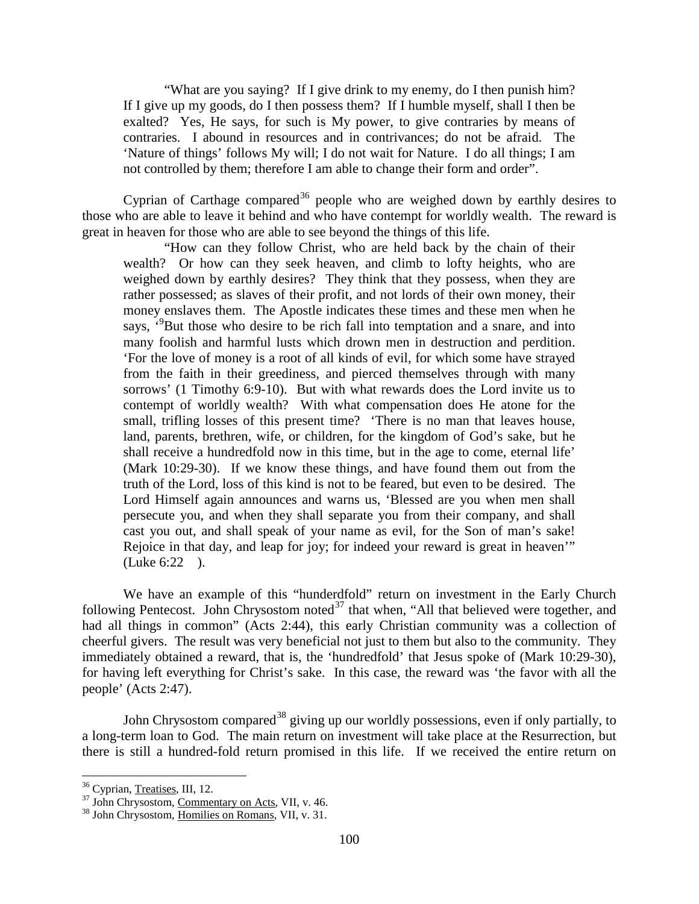"What are you saying? If I give drink to my enemy, do I then punish him? If I give up my goods, do I then possess them? If I humble myself, shall I then be exalted? Yes, He says, for such is My power, to give contraries by means of contraries. I abound in resources and in contrivances; do not be afraid. The 'Nature of things' follows My will; I do not wait for Nature. I do all things; I am not controlled by them; therefore I am able to change their form and order".

Cyprian of Carthage compared<sup>[36](#page-21-0)</sup> people who are weighed down by earthly desires to those who are able to leave it behind and who have contempt for worldly wealth. The reward is great in heaven for those who are able to see beyond the things of this life.

"How can they follow Christ, who are held back by the chain of their wealth? Or how can they seek heaven, and climb to lofty heights, who are weighed down by earthly desires? They think that they possess, when they are rather possessed; as slaves of their profit, and not lords of their own money, their money enslaves them. The Apostle indicates these times and these men when he says, <sup>3</sup>But those who desire to be rich fall into temptation and a snare, and into many foolish and harmful lusts which drown men in destruction and perdition. 'For the love of money is a root of all kinds of evil, for which some have strayed from the faith in their greediness, and pierced themselves through with many sorrows' (1 Timothy 6:9-10). But with what rewards does the Lord invite us to contempt of worldly wealth? With what compensation does He atone for the small, trifling losses of this present time? 'There is no man that leaves house, land, parents, brethren, wife, or children, for the kingdom of God's sake, but he shall receive a hundredfold now in this time, but in the age to come, eternal life' (Mark 10:29-30). If we know these things, and have found them out from the truth of the Lord, loss of this kind is not to be feared, but even to be desired. The Lord Himself again announces and warns us, 'Blessed are you when men shall persecute you, and when they shall separate you from their company, and shall cast you out, and shall speak of your name as evil, for the Son of man's sake! Rejoice in that day, and leap for joy; for indeed your reward is great in heaven'" (Luke 6:22 ).

We have an example of this "hunderdfold" return on investment in the Early Church following Pentecost. John Chrysostom noted $^{37}$  $^{37}$  $^{37}$  that when, "All that believed were together, and had all things in common" (Acts 2:44), this early Christian community was a collection of cheerful givers. The result was very beneficial not just to them but also to the community. They immediately obtained a reward, that is, the 'hundredfold' that Jesus spoke of (Mark 10:29-30), for having left everything for Christ's sake. In this case, the reward was 'the favor with all the people' (Acts 2:47).

John Chrysostom compared<sup>[38](#page-21-2)</sup> giving up our worldly possessions, even if only partially, to a long-term loan to God. The main return on investment will take place at the Resurrection, but there is still a hundred-fold return promised in this life. If we received the entire return on

<span id="page-21-1"></span><span id="page-21-0"></span> $\frac{36}{37}$  Cyprian, <u>Treatises</u>, III, 12.<br><sup>37</sup> John Chrysostom, <u>Commentary on Acts</u>, VII, v. 46.<br><sup>38</sup> John Chrysostom, Homilies on Romans, VII, v. 31.

<span id="page-21-2"></span>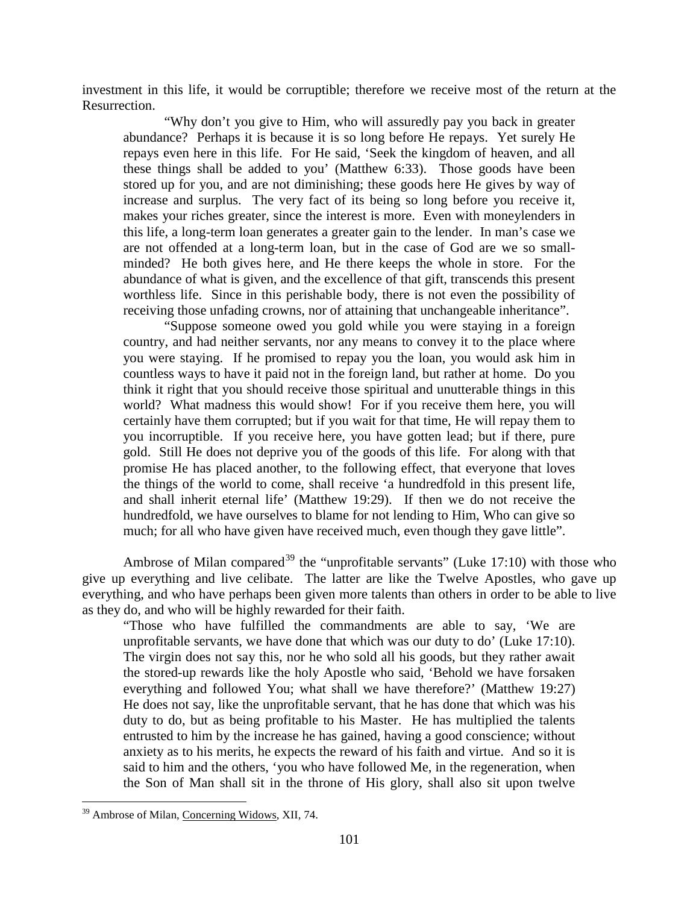investment in this life, it would be corruptible; therefore we receive most of the return at the Resurrection.

"Why don't you give to Him, who will assuredly pay you back in greater abundance? Perhaps it is because it is so long before He repays. Yet surely He repays even here in this life. For He said, 'Seek the kingdom of heaven, and all these things shall be added to you' (Matthew 6:33). Those goods have been stored up for you, and are not diminishing; these goods here He gives by way of increase and surplus. The very fact of its being so long before you receive it, makes your riches greater, since the interest is more. Even with moneylenders in this life, a long-term loan generates a greater gain to the lender. In man's case we are not offended at a long-term loan, but in the case of God are we so smallminded? He both gives here, and He there keeps the whole in store. For the abundance of what is given, and the excellence of that gift, transcends this present worthless life. Since in this perishable body, there is not even the possibility of receiving those unfading crowns, nor of attaining that unchangeable inheritance".

"Suppose someone owed you gold while you were staying in a foreign country, and had neither servants, nor any means to convey it to the place where you were staying. If he promised to repay you the loan, you would ask him in countless ways to have it paid not in the foreign land, but rather at home. Do you think it right that you should receive those spiritual and unutterable things in this world? What madness this would show! For if you receive them here, you will certainly have them corrupted; but if you wait for that time, He will repay them to you incorruptible. If you receive here, you have gotten lead; but if there, pure gold. Still He does not deprive you of the goods of this life. For along with that promise He has placed another, to the following effect, that everyone that loves the things of the world to come, shall receive 'a hundredfold in this present life, and shall inherit eternal life' (Matthew 19:29). If then we do not receive the hundredfold, we have ourselves to blame for not lending to Him, Who can give so much; for all who have given have received much, even though they gave little".

Ambrose of Milan compared<sup>[39](#page-22-0)</sup> the "unprofitable servants" (Luke 17:10) with those who give up everything and live celibate. The latter are like the Twelve Apostles, who gave up everything, and who have perhaps been given more talents than others in order to be able to live as they do, and who will be highly rewarded for their faith.

"Those who have fulfilled the commandments are able to say, 'We are unprofitable servants, we have done that which was our duty to do' (Luke 17:10). The virgin does not say this, nor he who sold all his goods, but they rather await the stored-up rewards like the holy Apostle who said, 'Behold we have forsaken everything and followed You; what shall we have therefore?' (Matthew 19:27) He does not say, like the unprofitable servant, that he has done that which was his duty to do, but as being profitable to his Master. He has multiplied the talents entrusted to him by the increase he has gained, having a good conscience; without anxiety as to his merits, he expects the reward of his faith and virtue. And so it is said to him and the others, 'you who have followed Me, in the regeneration, when the Son of Man shall sit in the throne of His glory, shall also sit upon twelve

<span id="page-22-0"></span> <sup>39</sup> Ambrose of Milan, Concerning Widows, XII, 74.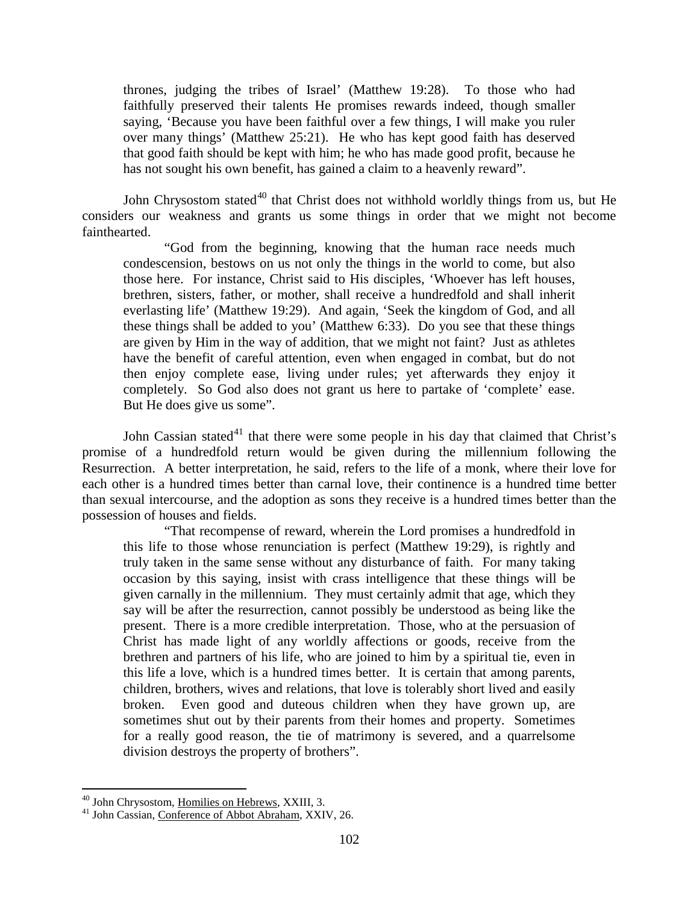thrones, judging the tribes of Israel' (Matthew 19:28). To those who had faithfully preserved their talents He promises rewards indeed, though smaller saying, 'Because you have been faithful over a few things, I will make you ruler over many things' (Matthew 25:21). He who has kept good faith has deserved that good faith should be kept with him; he who has made good profit, because he has not sought his own benefit, has gained a claim to a heavenly reward".

John Chrysostom stated<sup>[40](#page-23-0)</sup> that Christ does not withhold worldly things from us, but He considers our weakness and grants us some things in order that we might not become fainthearted.

"God from the beginning, knowing that the human race needs much condescension, bestows on us not only the things in the world to come, but also those here. For instance, Christ said to His disciples, 'Whoever has left houses, brethren, sisters, father, or mother, shall receive a hundredfold and shall inherit everlasting life' (Matthew 19:29). And again, 'Seek the kingdom of God, and all these things shall be added to you' (Matthew 6:33). Do you see that these things are given by Him in the way of addition, that we might not faint? Just as athletes have the benefit of careful attention, even when engaged in combat, but do not then enjoy complete ease, living under rules; yet afterwards they enjoy it completely. So God also does not grant us here to partake of 'complete' ease. But He does give us some".

John Cassian stated<sup>[41](#page-23-1)</sup> that there were some people in his day that claimed that Christ's promise of a hundredfold return would be given during the millennium following the Resurrection. A better interpretation, he said, refers to the life of a monk, where their love for each other is a hundred times better than carnal love, their continence is a hundred time better than sexual intercourse, and the adoption as sons they receive is a hundred times better than the possession of houses and fields.

"That recompense of reward, wherein the Lord promises a hundredfold in this life to those whose renunciation is perfect (Matthew 19:29), is rightly and truly taken in the same sense without any disturbance of faith. For many taking occasion by this saying, insist with crass intelligence that these things will be given carnally in the millennium. They must certainly admit that age, which they say will be after the resurrection, cannot possibly be understood as being like the present. There is a more credible interpretation. Those, who at the persuasion of Christ has made light of any worldly affections or goods, receive from the brethren and partners of his life, who are joined to him by a spiritual tie, even in this life a love, which is a hundred times better. It is certain that among parents, children, brothers, wives and relations, that love is tolerably short lived and easily broken. Even good and duteous children when they have grown up, are sometimes shut out by their parents from their homes and property. Sometimes for a really good reason, the tie of matrimony is severed, and a quarrelsome division destroys the property of brothers".

<span id="page-23-1"></span><span id="page-23-0"></span><sup>&</sup>lt;sup>40</sup> John Chrysostom, <u>Homilies on Hebrews</u>, XXIII, 3.<br><sup>41</sup> John Cassian, Conference of Abbot Abraham, XXIV, 26.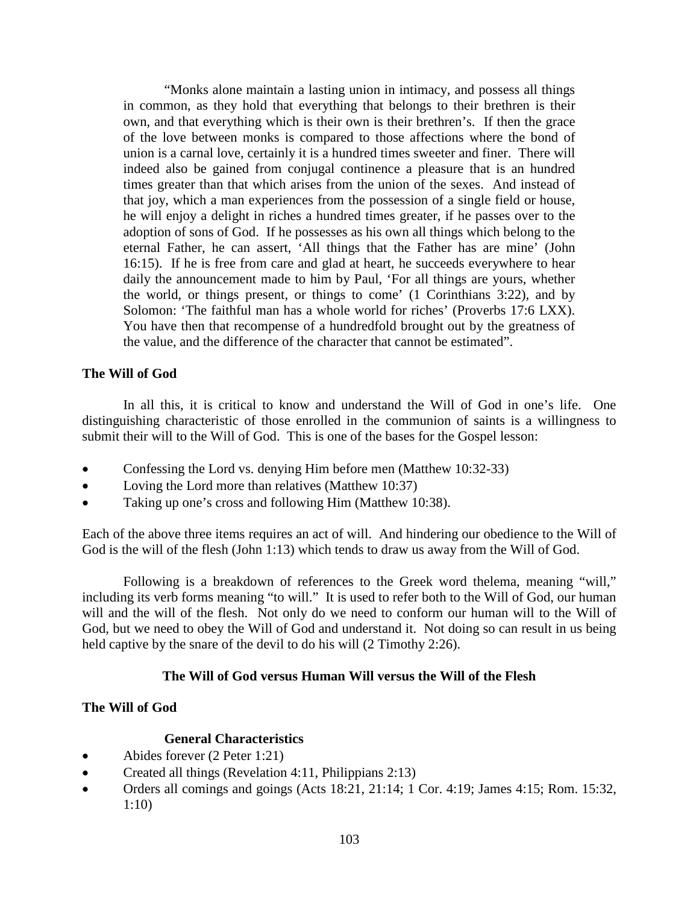"Monks alone maintain a lasting union in intimacy, and possess all things in common, as they hold that everything that belongs to their brethren is their own, and that everything which is their own is their brethren's. If then the grace of the love between monks is compared to those affections where the bond of union is a carnal love, certainly it is a hundred times sweeter and finer. There will indeed also be gained from conjugal continence a pleasure that is an hundred times greater than that which arises from the union of the sexes. And instead of that joy, which a man experiences from the possession of a single field or house, he will enjoy a delight in riches a hundred times greater, if he passes over to the adoption of sons of God. If he possesses as his own all things which belong to the eternal Father, he can assert, 'All things that the Father has are mine' (John 16:15). If he is free from care and glad at heart, he succeeds everywhere to hear daily the announcement made to him by Paul, 'For all things are yours, whether the world, or things present, or things to come' (1 Corinthians 3:22), and by Solomon: 'The faithful man has a whole world for riches' (Proverbs 17:6 LXX). You have then that recompense of a hundredfold brought out by the greatness of the value, and the difference of the character that cannot be estimated".

### <span id="page-24-0"></span>**The Will of God**

In all this, it is critical to know and understand the Will of God in one's life. One distinguishing characteristic of those enrolled in the communion of saints is a willingness to submit their will to the Will of God. This is one of the bases for the Gospel lesson:

- Confessing the Lord vs. denying Him before men (Matthew 10:32-33)
- Loving the Lord more than relatives (Matthew 10:37)
- Taking up one's cross and following Him (Matthew 10:38).

Each of the above three items requires an act of will. And hindering our obedience to the Will of God is the will of the flesh (John 1:13) which tends to draw us away from the Will of God.

Following is a breakdown of references to the Greek word thelema, meaning "will," including its verb forms meaning "to will." It is used to refer both to the Will of God, our human will and the will of the flesh. Not only do we need to conform our human will to the Will of God, but we need to obey the Will of God and understand it. Not doing so can result in us being held captive by the snare of the devil to do his will (2 Timothy 2:26).

### **The Will of God versus Human Will versus the Will of the Flesh**

### **The Will of God**

### **General Characteristics**

- Abides forever (2 Peter 1:21)
- Created all things (Revelation 4:11, Philippians 2:13)
- Orders all comings and goings (Acts 18:21, 21:14; 1 Cor. 4:19; James 4:15; Rom. 15:32, 1:10)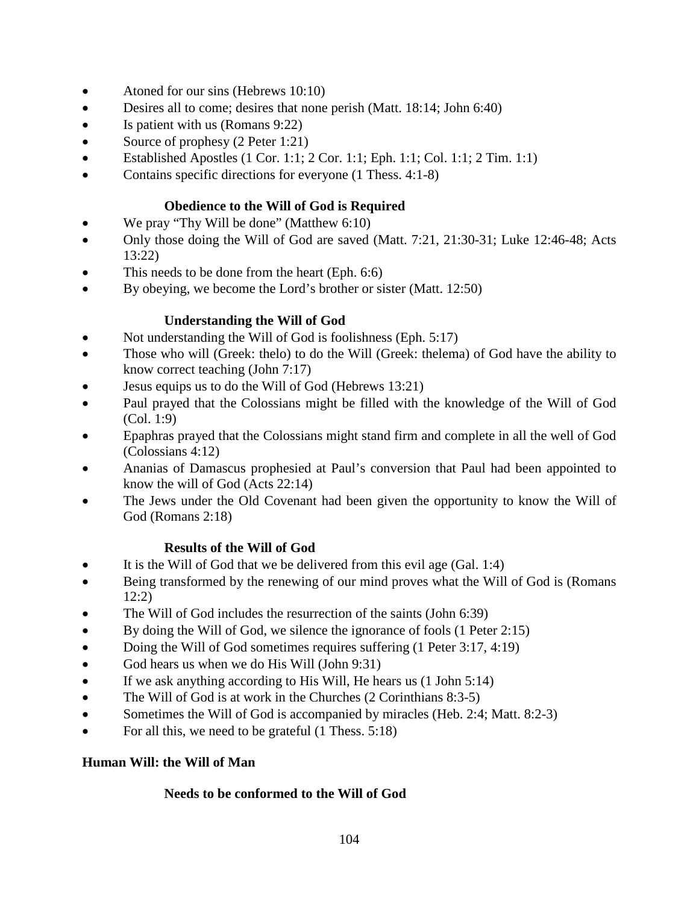- Atoned for our sins (Hebrews 10:10)
- Desires all to come; desires that none perish (Matt. 18:14; John 6:40)
- Is patient with us (Romans 9:22)
- Source of prophesy (2 Peter 1:21)
- Established Apostles  $(1 \text{ Cor. } 1:1; 2 \text{ Cor. } 1:1; \text{ Eph. } 1:1; \text{ Col. } 1:1; 2 \text{ Tim. } 1:1)$
- Contains specific directions for everyone (1 Thess. 4:1-8)

## **Obedience to the Will of God is Required**

- We pray "Thy Will be done" (Matthew 6:10)
- Only those doing the Will of God are saved (Matt. 7:21, 21:30-31; Luke 12:46-48; Acts 13:22)
- This needs to be done from the heart (Eph. 6:6)
- By obeying, we become the Lord's brother or sister (Matt. 12:50)

## **Understanding the Will of God**

- Not understanding the Will of God is foolishness (Eph. 5:17)
- Those who will (Greek: thelo) to do the Will (Greek: thelema) of God have the ability to know correct teaching (John 7:17)
- Jesus equips us to do the Will of God (Hebrews 13:21)
- Paul prayed that the Colossians might be filled with the knowledge of the Will of God (Col. 1:9)
- Epaphras prayed that the Colossians might stand firm and complete in all the well of God (Colossians 4:12)
- Ananias of Damascus prophesied at Paul's conversion that Paul had been appointed to know the will of God (Acts 22:14)
- The Jews under the Old Covenant had been given the opportunity to know the Will of God (Romans 2:18)

### **Results of the Will of God**

- It is the Will of God that we be delivered from this evil age (Gal. 1:4)
- Being transformed by the renewing of our mind proves what the Will of God is (Romans 12:2)
- The Will of God includes the resurrection of the saints (John 6:39)
- By doing the Will of God, we silence the ignorance of fools (1 Peter 2:15)
- Doing the Will of God sometimes requires suffering (1 Peter 3:17, 4:19)
- God hears us when we do His Will (John 9:31)
- If we ask anything according to His Will, He hears us (1 John 5:14)
- The Will of God is at work in the Churches (2 Corinthians 8:3-5)
- Sometimes the Will of God is accompanied by miracles (Heb. 2:4; Matt. 8:2-3)
- For all this, we need to be grateful (1 Thess. 5:18)

## **Human Will: the Will of Man**

### **Needs to be conformed to the Will of God**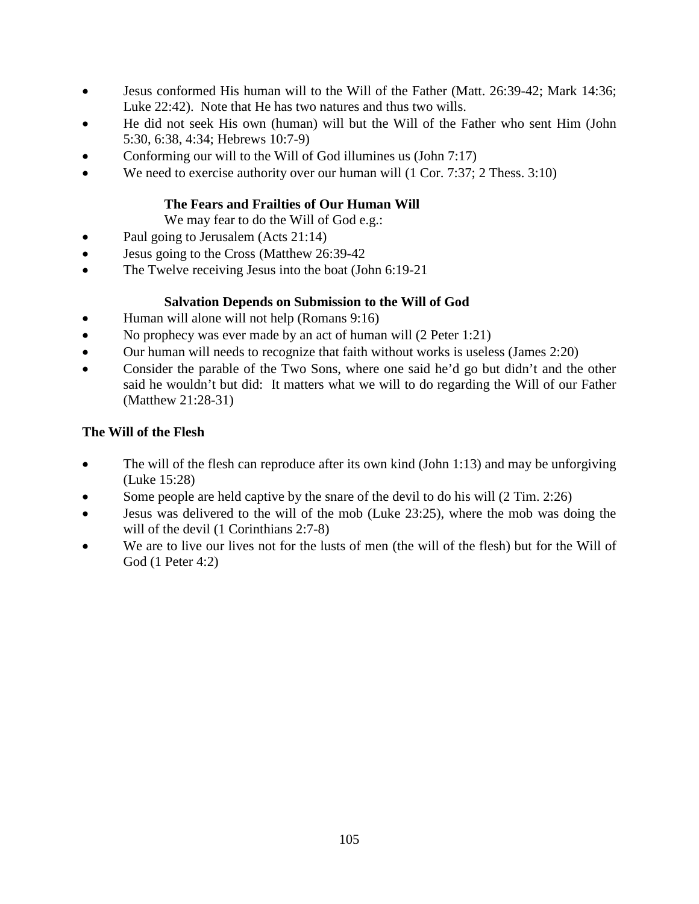- Jesus conformed His human will to the Will of the Father (Matt. 26:39-42; Mark 14:36; Luke 22:42). Note that He has two natures and thus two wills.
- He did not seek His own (human) will but the Will of the Father who sent Him (John 5:30, 6:38, 4:34; Hebrews 10:7-9)
- Conforming our will to the Will of God illumines us (John 7:17)
- We need to exercise authority over our human will (1 Cor. 7:37; 2 Thess. 3:10)

## **The Fears and Frailties of Our Human Will**

We may fear to do the Will of God e.g.:

- Paul going to Jerusalem (Acts 21:14)
- Jesus going to the Cross (Matthew 26:39-42)
- The Twelve receiving Jesus into the boat (John 6:19-21)

## **Salvation Depends on Submission to the Will of God**

- Human will alone will not help (Romans 9:16)
- No prophecy was ever made by an act of human will (2 Peter 1:21)
- Our human will needs to recognize that faith without works is useless (James 2:20)
- Consider the parable of the Two Sons, where one said he'd go but didn't and the other said he wouldn't but did: It matters what we will to do regarding the Will of our Father (Matthew 21:28-31)

## **The Will of the Flesh**

- The will of the flesh can reproduce after its own kind (John 1:13) and may be unforgiving (Luke 15:28)
- Some people are held captive by the snare of the devil to do his will (2 Tim. 2:26)
- Jesus was delivered to the will of the mob (Luke 23:25), where the mob was doing the will of the devil  $(1$  Corinthians 2:7-8)
- We are to live our lives not for the lusts of men (the will of the flesh) but for the Will of God (1 Peter 4:2)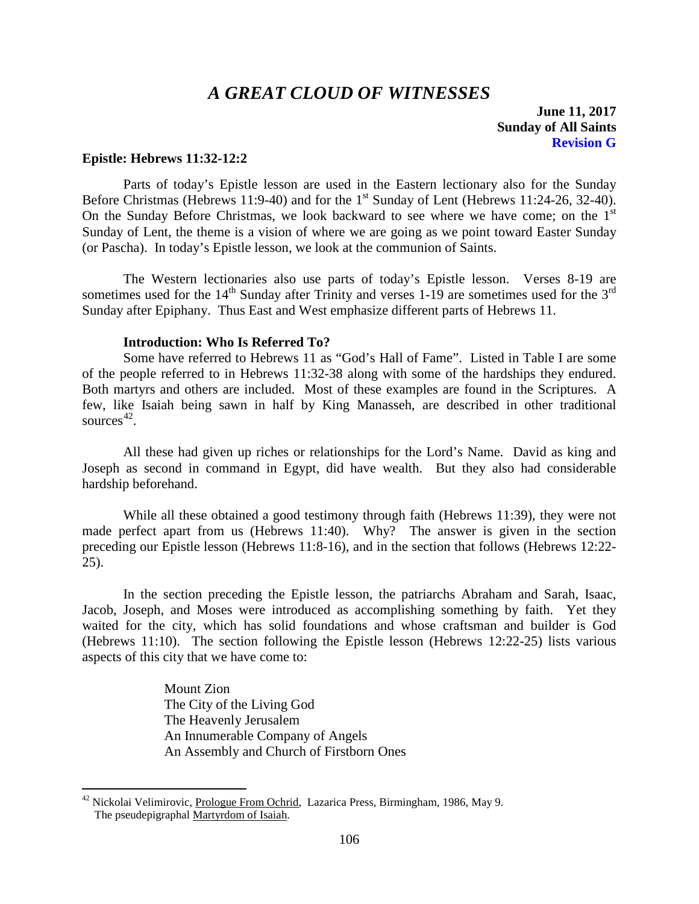# *A GREAT CLOUD OF WITNESSES*

**June 11, 2017 Sunday of All Saints Revision G**

#### <span id="page-27-0"></span>**Epistle: Hebrews 11:32-12:2**

Parts of today's Epistle lesson are used in the Eastern lectionary also for the Sunday Before Christmas (Hebrews 11:9-40) and for the  $1<sup>st</sup>$  Sunday of Lent (Hebrews 11:24-26, 32-40). On the Sunday Before Christmas, we look backward to see where we have come; on the  $1<sup>st</sup>$ Sunday of Lent, the theme is a vision of where we are going as we point toward Easter Sunday (or Pascha). In today's Epistle lesson, we look at the communion of Saints.

The Western lectionaries also use parts of today's Epistle lesson. Verses 8-19 are sometimes used for the  $14<sup>th</sup>$  Sunday after Trinity and verses 1-19 are sometimes used for the  $3<sup>rd</sup>$ Sunday after Epiphany. Thus East and West emphasize different parts of Hebrews 11.

#### **Introduction: Who Is Referred To?**

<span id="page-27-1"></span>Some have referred to Hebrews 11 as "God's Hall of Fame". Listed in Table I are some of the people referred to in Hebrews 11:32-38 along with some of the hardships they endured. Both martyrs and others are included. Most of these examples are found in the Scriptures. A few, like Isaiah being sawn in half by King Manasseh, are described in other traditional sources [42.](#page-27-2)

All these had given up riches or relationships for the Lord's Name. David as king and Joseph as second in command in Egypt, did have wealth. But they also had considerable hardship beforehand.

While all these obtained a good testimony through faith (Hebrews 11:39), they were not made perfect apart from us (Hebrews 11:40). Why? The answer is given in the section preceding our Epistle lesson (Hebrews 11:8-16), and in the section that follows (Hebrews 12:22- 25).

In the section preceding the Epistle lesson, the patriarchs Abraham and Sarah, Isaac, Jacob, Joseph, and Moses were introduced as accomplishing something by faith. Yet they waited for the city, which has solid foundations and whose craftsman and builder is God (Hebrews 11:10). The section following the Epistle lesson (Hebrews 12:22-25) lists various aspects of this city that we have come to:

> Mount Zion The City of the Living God The Heavenly Jerusalem An Innumerable Company of Angels An Assembly and Church of Firstborn Ones

<span id="page-27-2"></span> $42$  Nickolai Velimirovic, Prologue From Ochrid, Lazarica Press, Birmingham, 1986, May 9. The pseudepigraphal Martyrdom of Isaiah.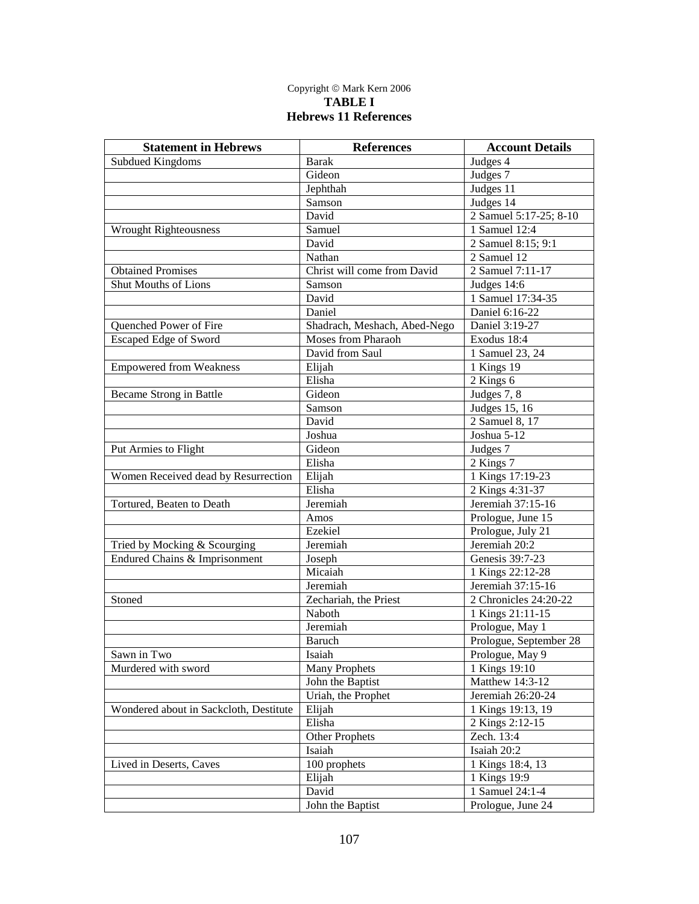#### Copyright © Mark Kern 2006 **TABLE I Hebrews 11 References**

| <b>Statement in Hebrews</b>            | <b>References</b>            | <b>Account Details</b>      |
|----------------------------------------|------------------------------|-----------------------------|
| <b>Subdued Kingdoms</b>                | <b>Barak</b>                 | Judges 4                    |
|                                        | Gideon                       | Judges 7                    |
|                                        | Jephthah                     | Judges 11                   |
|                                        | Samson                       | Judges 14                   |
|                                        | David                        | 2 Samuel 5:17-25; 8-10      |
| <b>Wrought Righteousness</b>           | Samuel                       | $\overline{1}$ Samuel 12:4  |
|                                        | David                        | 2 Samuel 8:15; 9:1          |
|                                        | Nathan                       | 2 Samuel 12                 |
| <b>Obtained Promises</b>               | Christ will come from David  | 2 Samuel 7:11-17            |
| Shut Mouths of Lions                   | Samson                       | Judges 14:6                 |
|                                        | David                        | 1 Samuel 17:34-35           |
|                                        | Daniel                       | Daniel 6:16-22              |
| Quenched Power of Fire                 | Shadrach, Meshach, Abed-Nego | Daniel 3:19-27              |
| <b>Escaped Edge of Sword</b>           | Moses from Pharaoh           | Exodus 18:4                 |
|                                        | David from Saul              | 1 Samuel 23, 24             |
| <b>Empowered from Weakness</b>         | Elijah                       | 1 Kings 19                  |
|                                        | Elisha                       | 2 Kings 6                   |
| Became Strong in Battle                | Gideon                       | Judges $7, 8$               |
|                                        | Samson                       | Judges 15, 16               |
|                                        | David                        | $\overline{2}$ Samuel 8, 17 |
|                                        | Joshua                       | Joshua 5-12                 |
| Put Armies to Flight                   | Gideon                       | Judges 7                    |
|                                        | Elisha                       | 2 Kings 7                   |
| Women Received dead by Resurrection    | Elijah                       | 1 Kings 17:19-23            |
|                                        | Elisha                       | 2 Kings 4:31-37             |
| Tortured, Beaten to Death              | Jeremiah                     | Jeremiah 37:15-16           |
|                                        | Amos                         | Prologue, June 15           |
|                                        | Ezekiel                      | Prologue, July 21           |
| Tried by Mocking & Scourging           | Jeremiah                     | Jeremiah 20:2               |
| Endured Chains & Imprisonment          | Joseph                       | Genesis 39:7-23             |
|                                        | Micaiah                      | 1 Kings 22:12-28            |
|                                        | Jeremiah                     | Jeremiah 37:15-16           |
| Stoned                                 | Zechariah, the Priest        | 2 Chronicles 24:20-22       |
|                                        | Naboth                       | 1 Kings 21:11-15            |
|                                        | Jeremiah                     | Prologue, May 1             |
|                                        | <b>Baruch</b>                | Prologue, September 28      |
| Sawn in Two                            | Isaiah                       | Prologue, May 9             |
| Murdered with sword                    | <b>Many Prophets</b>         | 1 Kings 19:10               |
|                                        | John the Baptist             | Matthew 14:3-12             |
|                                        | Uriah, the Prophet           | Jeremiah 26:20-24           |
| Wondered about in Sackcloth, Destitute | Elijah                       | 1 Kings 19:13, 19           |
|                                        | Elisha                       | 2 Kings 2:12-15             |
|                                        | <b>Other Prophets</b>        | Zech. 13:4                  |
|                                        | Isaiah                       | Isaiah 20:2                 |
| Lived in Deserts, Caves                | 100 prophets                 | 1 Kings 18:4, 13            |
|                                        | Elijah                       | 1 Kings 19:9                |
|                                        | David                        | 1 Samuel 24:1-4             |
|                                        | John the Baptist             | Prologue, June 24           |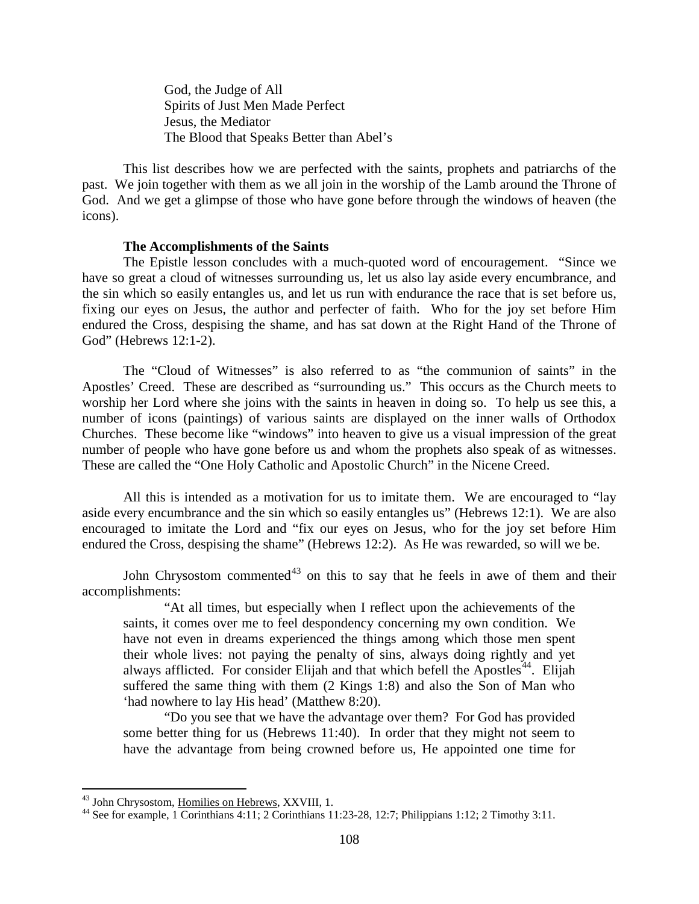God, the Judge of All Spirits of Just Men Made Perfect Jesus, the Mediator The Blood that Speaks Better than Abel's

This list describes how we are perfected with the saints, prophets and patriarchs of the past. We join together with them as we all join in the worship of the Lamb around the Throne of God. And we get a glimpse of those who have gone before through the windows of heaven (the icons).

#### **The Accomplishments of the Saints**

<span id="page-29-0"></span>The Epistle lesson concludes with a much-quoted word of encouragement. "Since we have so great a cloud of witnesses surrounding us, let us also lay aside every encumbrance, and the sin which so easily entangles us, and let us run with endurance the race that is set before us, fixing our eyes on Jesus, the author and perfecter of faith. Who for the joy set before Him endured the Cross, despising the shame, and has sat down at the Right Hand of the Throne of God" (Hebrews 12:1-2).

The "Cloud of Witnesses" is also referred to as "the communion of saints" in the Apostles' Creed. These are described as "surrounding us." This occurs as the Church meets to worship her Lord where she joins with the saints in heaven in doing so. To help us see this, a number of icons (paintings) of various saints are displayed on the inner walls of Orthodox Churches. These become like "windows" into heaven to give us a visual impression of the great number of people who have gone before us and whom the prophets also speak of as witnesses. These are called the "One Holy Catholic and Apostolic Church" in the Nicene Creed.

All this is intended as a motivation for us to imitate them. We are encouraged to "lay aside every encumbrance and the sin which so easily entangles us" (Hebrews 12:1). We are also encouraged to imitate the Lord and "fix our eyes on Jesus, who for the joy set before Him endured the Cross, despising the shame" (Hebrews 12:2). As He was rewarded, so will we be.

John Chrysostom commented<sup>[43](#page-29-1)</sup> on this to say that he feels in awe of them and their accomplishments:

"At all times, but especially when I reflect upon the achievements of the saints, it comes over me to feel despondency concerning my own condition. We have not even in dreams experienced the things among which those men spent their whole lives: not paying the penalty of sins, always doing rightly and yet always afflicted. For consider Elijah and that which befell the Apostles<sup>44</sup>. Elijah suffered the same thing with them (2 Kings 1:8) and also the Son of Man who 'had nowhere to lay His head' (Matthew 8:20).

"Do you see that we have the advantage over them? For God has provided some better thing for us (Hebrews 11:40). In order that they might not seem to have the advantage from being crowned before us, He appointed one time for

<span id="page-29-2"></span><span id="page-29-1"></span><sup>&</sup>lt;sup>43</sup> John Chrysostom, <u>Homilies on Hebrews</u>, XXVIII, 1.<br><sup>44</sup> See for example, 1 Corinthians 4:11; 2 Corinthians 11:23-28, 12:7; Philippians 1:12; 2 Timothy 3:11.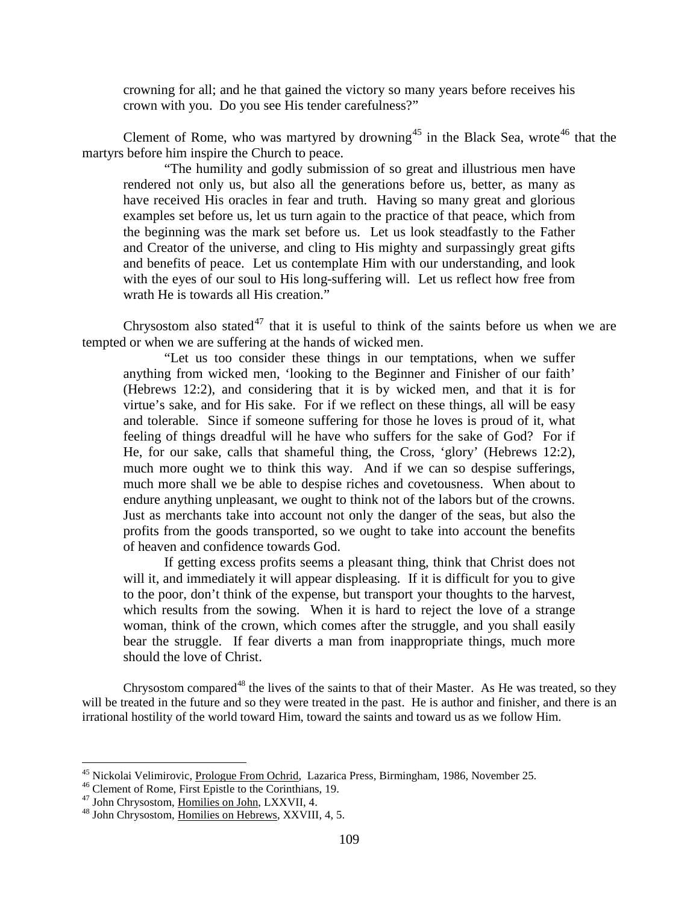crowning for all; and he that gained the victory so many years before receives his crown with you. Do you see His tender carefulness?"

Clement of Rome, who was martyred by drowning<sup>[45](#page-30-0)</sup> in the Black Sea, wrote<sup>[46](#page-30-1)</sup> that the martyrs before him inspire the Church to peace.

"The humility and godly submission of so great and illustrious men have rendered not only us, but also all the generations before us, better, as many as have received His oracles in fear and truth. Having so many great and glorious examples set before us, let us turn again to the practice of that peace, which from the beginning was the mark set before us. Let us look steadfastly to the Father and Creator of the universe, and cling to His mighty and surpassingly great gifts and benefits of peace. Let us contemplate Him with our understanding, and look with the eyes of our soul to His long-suffering will. Let us reflect how free from wrath He is towards all His creation."

Chrysostom also stated<sup>[47](#page-30-2)</sup> that it is useful to think of the saints before us when we are tempted or when we are suffering at the hands of wicked men.

"Let us too consider these things in our temptations, when we suffer anything from wicked men, 'looking to the Beginner and Finisher of our faith' (Hebrews 12:2), and considering that it is by wicked men, and that it is for virtue's sake, and for His sake. For if we reflect on these things, all will be easy and tolerable. Since if someone suffering for those he loves is proud of it, what feeling of things dreadful will he have who suffers for the sake of God? For if He, for our sake, calls that shameful thing, the Cross, 'glory' (Hebrews 12:2), much more ought we to think this way. And if we can so despise sufferings, much more shall we be able to despise riches and covetousness. When about to endure anything unpleasant, we ought to think not of the labors but of the crowns. Just as merchants take into account not only the danger of the seas, but also the profits from the goods transported, so we ought to take into account the benefits of heaven and confidence towards God.

If getting excess profits seems a pleasant thing, think that Christ does not will it, and immediately it will appear displeasing. If it is difficult for you to give to the poor, don't think of the expense, but transport your thoughts to the harvest, which results from the sowing. When it is hard to reject the love of a strange woman, think of the crown, which comes after the struggle, and you shall easily bear the struggle. If fear diverts a man from inappropriate things, much more should the love of Christ.

Chrysostom compared<sup>[48](#page-30-3)</sup> the lives of the saints to that of their Master. As He was treated, so they will be treated in the future and so they were treated in the past. He is author and finisher, and there is an irrational hostility of the world toward Him, toward the saints and toward us as we follow Him.

<span id="page-30-1"></span><span id="page-30-0"></span><sup>&</sup>lt;sup>45</sup> Nickolai Velimirovic, <u>Prologue From Ochrid</u>, Lazarica Press, Birmingham, 1986, November 25.<br><sup>46</sup> Clement of Rome, First Epistle to the Corinthians, 19.<br><sup>47</sup> John Chrysostom, <u>Homilies on John</u>, LXXVII, 4.<br><sup>48</sup> John

<span id="page-30-2"></span>

<span id="page-30-3"></span>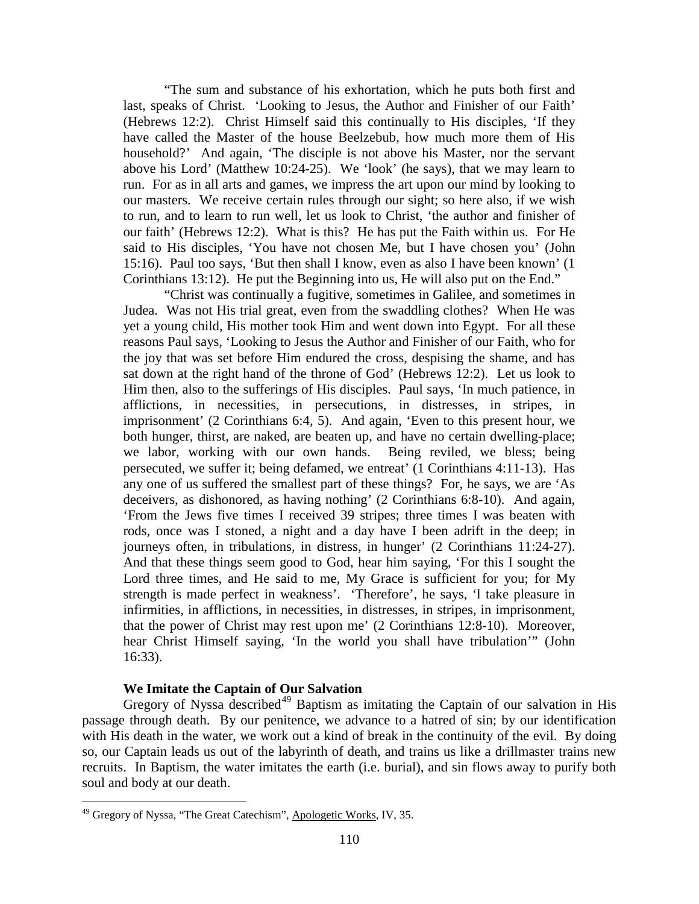"The sum and substance of his exhortation, which he puts both first and last, speaks of Christ. 'Looking to Jesus, the Author and Finisher of our Faith' (Hebrews 12:2). Christ Himself said this continually to His disciples, 'If they have called the Master of the house Beelzebub, how much more them of His household?' And again, 'The disciple is not above his Master, nor the servant above his Lord' (Matthew 10:24-25). We 'look' (he says), that we may learn to run. For as in all arts and games, we impress the art upon our mind by looking to our masters. We receive certain rules through our sight; so here also, if we wish to run, and to learn to run well, let us look to Christ, 'the author and finisher of our faith' (Hebrews 12:2). What is this? He has put the Faith within us. For He said to His disciples, 'You have not chosen Me, but I have chosen you' (John 15:16). Paul too says, 'But then shall I know, even as also I have been known' (1 Corinthians 13:12). He put the Beginning into us, He will also put on the End."

"Christ was continually a fugitive, sometimes in Galilee, and sometimes in Judea. Was not His trial great, even from the swaddling clothes? When He was yet a young child, His mother took Him and went down into Egypt. For all these reasons Paul says, 'Looking to Jesus the Author and Finisher of our Faith, who for the joy that was set before Him endured the cross, despising the shame, and has sat down at the right hand of the throne of God' (Hebrews 12:2). Let us look to Him then, also to the sufferings of His disciples. Paul says, 'In much patience, in afflictions, in necessities, in persecutions, in distresses, in stripes, in imprisonment' (2 Corinthians 6:4, 5). And again, 'Even to this present hour, we both hunger, thirst, are naked, are beaten up, and have no certain dwelling-place; we labor, working with our own hands. Being reviled, we bless; being persecuted, we suffer it; being defamed, we entreat' (1 Corinthians 4:11-13). Has any one of us suffered the smallest part of these things? For, he says, we are 'As deceivers, as dishonored, as having nothing' (2 Corinthians 6:8-10). And again, 'From the Jews five times I received 39 stripes; three times I was beaten with rods, once was I stoned, a night and a day have I been adrift in the deep; in journeys often, in tribulations, in distress, in hunger' (2 Corinthians 11:24-27). And that these things seem good to God, hear him saying, 'For this I sought the Lord three times, and He said to me, My Grace is sufficient for you; for My strength is made perfect in weakness'. 'Therefore', he says, 'l take pleasure in infirmities, in afflictions, in necessities, in distresses, in stripes, in imprisonment, that the power of Christ may rest upon me' (2 Corinthians 12:8-10). Moreover, hear Christ Himself saying, 'In the world you shall have tribulation'" (John 16:33).

### **We Imitate the Captain of Our Salvation**

<span id="page-31-0"></span>Gregory of Nyssa described<sup>[49](#page-31-1)</sup> Baptism as imitating the Captain of our salvation in His passage through death. By our penitence, we advance to a hatred of sin; by our identification with His death in the water, we work out a kind of break in the continuity of the evil. By doing so, our Captain leads us out of the labyrinth of death, and trains us like a drillmaster trains new recruits. In Baptism, the water imitates the earth (i.e. burial), and sin flows away to purify both soul and body at our death.

<span id="page-31-1"></span><sup>&</sup>lt;sup>49</sup> Gregory of Nyssa, "The Great Catechism", Apologetic Works, IV, 35.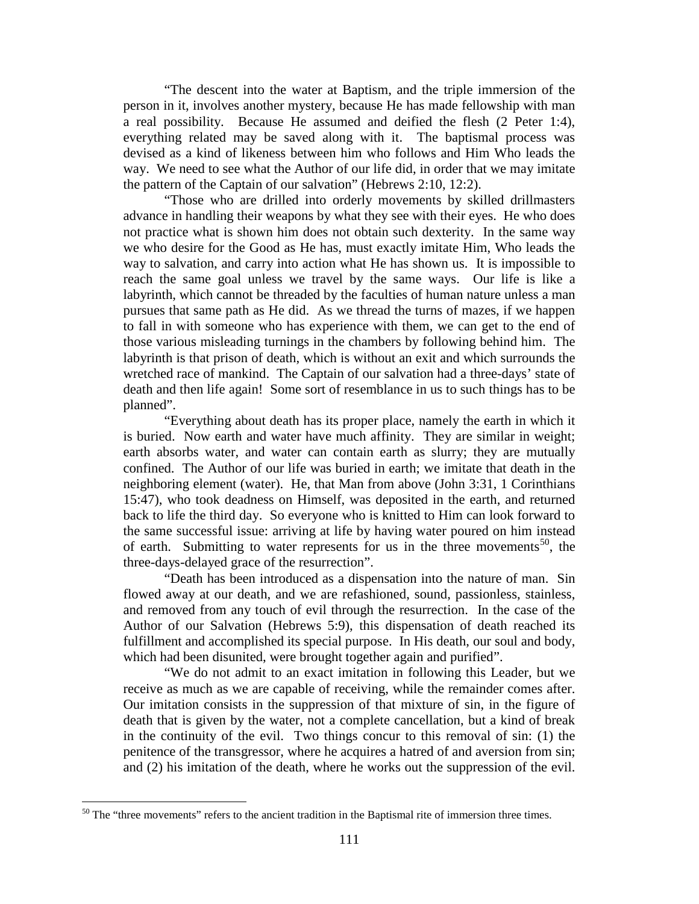"The descent into the water at Baptism, and the triple immersion of the person in it, involves another mystery, because He has made fellowship with man a real possibility. Because He assumed and deified the flesh (2 Peter 1:4), everything related may be saved along with it. The baptismal process was devised as a kind of likeness between him who follows and Him Who leads the way. We need to see what the Author of our life did, in order that we may imitate the pattern of the Captain of our salvation" (Hebrews 2:10, 12:2).

"Those who are drilled into orderly movements by skilled drillmasters advance in handling their weapons by what they see with their eyes. He who does not practice what is shown him does not obtain such dexterity. In the same way we who desire for the Good as He has, must exactly imitate Him, Who leads the way to salvation, and carry into action what He has shown us. It is impossible to reach the same goal unless we travel by the same ways. Our life is like a labyrinth, which cannot be threaded by the faculties of human nature unless a man pursues that same path as He did. As we thread the turns of mazes, if we happen to fall in with someone who has experience with them, we can get to the end of those various misleading turnings in the chambers by following behind him. The labyrinth is that prison of death, which is without an exit and which surrounds the wretched race of mankind. The Captain of our salvation had a three-days' state of death and then life again! Some sort of resemblance in us to such things has to be planned".

"Everything about death has its proper place, namely the earth in which it is buried. Now earth and water have much affinity. They are similar in weight; earth absorbs water, and water can contain earth as slurry; they are mutually confined. The Author of our life was buried in earth; we imitate that death in the neighboring element (water). He, that Man from above (John 3:31, 1 Corinthians 15:47), who took deadness on Himself, was deposited in the earth, and returned back to life the third day. So everyone who is knitted to Him can look forward to the same successful issue: arriving at life by having water poured on him instead of earth. Submitting to water represents for us in the three movements<sup>[50](#page-32-0)</sup>, the three-days-delayed grace of the resurrection".

"Death has been introduced as a dispensation into the nature of man. Sin flowed away at our death, and we are refashioned, sound, passionless, stainless, and removed from any touch of evil through the resurrection. In the case of the Author of our Salvation (Hebrews 5:9), this dispensation of death reached its fulfillment and accomplished its special purpose. In His death, our soul and body, which had been disunited, were brought together again and purified".

"We do not admit to an exact imitation in following this Leader, but we receive as much as we are capable of receiving, while the remainder comes after. Our imitation consists in the suppression of that mixture of sin, in the figure of death that is given by the water, not a complete cancellation, but a kind of break in the continuity of the evil. Two things concur to this removal of sin: (1) the penitence of the transgressor, where he acquires a hatred of and aversion from sin; and (2) his imitation of the death, where he works out the suppression of the evil.

<span id="page-32-0"></span> $50$  The "three movements" refers to the ancient tradition in the Baptismal rite of immersion three times.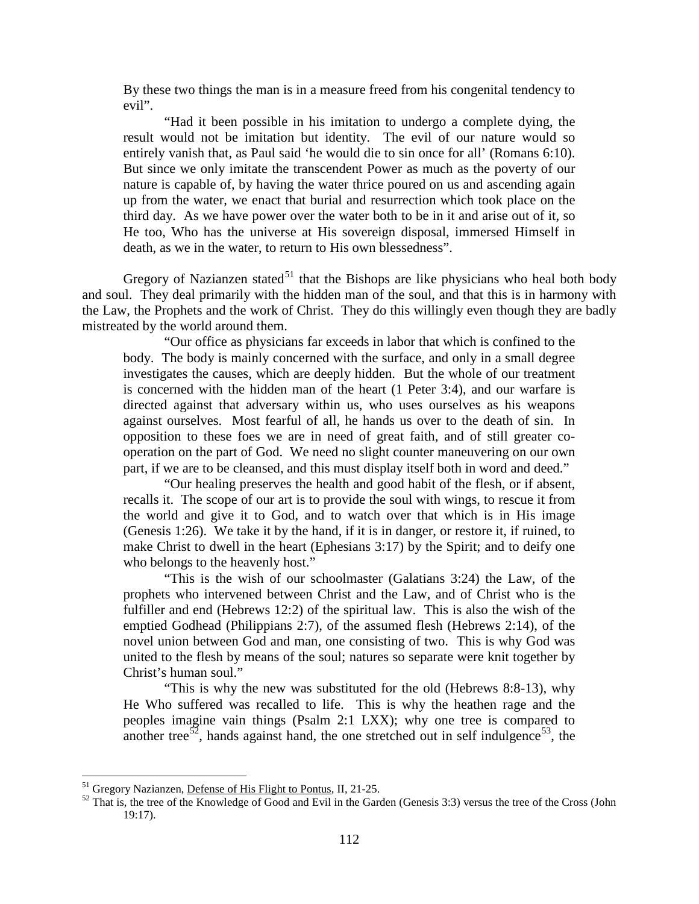By these two things the man is in a measure freed from his congenital tendency to evil".

"Had it been possible in his imitation to undergo a complete dying, the result would not be imitation but identity. The evil of our nature would so entirely vanish that, as Paul said 'he would die to sin once for all' (Romans 6:10). But since we only imitate the transcendent Power as much as the poverty of our nature is capable of, by having the water thrice poured on us and ascending again up from the water, we enact that burial and resurrection which took place on the third day. As we have power over the water both to be in it and arise out of it, so He too, Who has the universe at His sovereign disposal, immersed Himself in death, as we in the water, to return to His own blessedness".

Gregory of Nazianzen stated<sup>[51](#page-33-0)</sup> that the Bishops are like physicians who heal both body and soul. They deal primarily with the hidden man of the soul, and that this is in harmony with the Law, the Prophets and the work of Christ. They do this willingly even though they are badly mistreated by the world around them.

"Our office as physicians far exceeds in labor that which is confined to the body. The body is mainly concerned with the surface, and only in a small degree investigates the causes, which are deeply hidden. But the whole of our treatment is concerned with the hidden man of the heart (1 Peter 3:4), and our warfare is directed against that adversary within us, who uses ourselves as his weapons against ourselves. Most fearful of all, he hands us over to the death of sin. In opposition to these foes we are in need of great faith, and of still greater cooperation on the part of God. We need no slight counter maneuvering on our own part, if we are to be cleansed, and this must display itself both in word and deed."

"Our healing preserves the health and good habit of the flesh, or if absent, recalls it. The scope of our art is to provide the soul with wings, to rescue it from the world and give it to God, and to watch over that which is in His image (Genesis 1:26). We take it by the hand, if it is in danger, or restore it, if ruined, to make Christ to dwell in the heart (Ephesians 3:17) by the Spirit; and to deify one who belongs to the heavenly host."

"This is the wish of our schoolmaster (Galatians 3:24) the Law, of the prophets who intervened between Christ and the Law, and of Christ who is the fulfiller and end (Hebrews 12:2) of the spiritual law. This is also the wish of the emptied Godhead (Philippians 2:7), of the assumed flesh (Hebrews 2:14), of the novel union between God and man, one consisting of two. This is why God was united to the flesh by means of the soul; natures so separate were knit together by Christ's human soul."

"This is why the new was substituted for the old (Hebrews 8:8-13), why He Who suffered was recalled to life. This is why the heathen rage and the peoples imagine vain things (Psalm 2:1 LXX); why one tree is compared to another tree<sup>[52](#page-33-1)</sup>, hands against hand, the one stretched out in self indulgence<sup>53</sup>, the

<span id="page-33-1"></span><span id="page-33-0"></span><sup>&</sup>lt;sup>51</sup> Gregory Nazianzen, <u>Defense of His Flight to Pontus</u>, II, 21-25.<br><sup>52</sup> That is, the tree of the Knowledge of Good and Evil in the Garden (Genesis 3:3) versus the tree of the Cross (John 19:17).